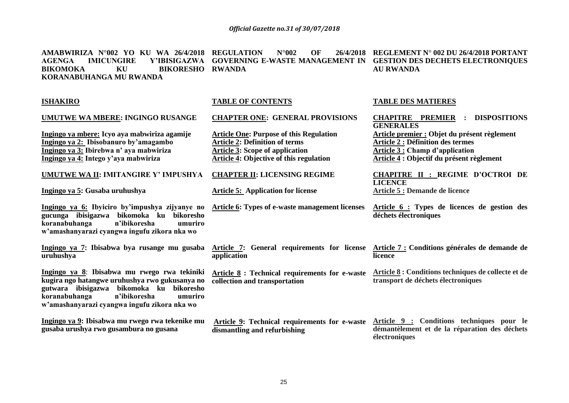**REGLEMENT N**° **002 DU 26/4/2018 PORTANT** 

**AMABWIRIZA N**°**002 YO KU WA 26/4/2018 REGULATION N**°**002 OF 26/4/2018** 

| <b>AGENGA</b><br><b>IMICUNGIRE</b><br><b>BIKORESHO</b><br><b>BIKOMOKA</b><br>KU<br>KORANABUHANGA MU RWANDA                                                                                                                             | Y'IBISIGAZWA GOVERNING E-WASTE MANAGEMENT IN<br><b>RWANDA</b>                                                                                                                       | <b>GESTION DES DECHETS ELECTRONIQUES</b><br><b>AU RWANDA</b>                                                                                                                    |
|----------------------------------------------------------------------------------------------------------------------------------------------------------------------------------------------------------------------------------------|-------------------------------------------------------------------------------------------------------------------------------------------------------------------------------------|---------------------------------------------------------------------------------------------------------------------------------------------------------------------------------|
| <b>ISHAKIRO</b>                                                                                                                                                                                                                        | <b>TABLE OF CONTENTS</b>                                                                                                                                                            | <b>TABLE DES MATIERES</b>                                                                                                                                                       |
| <b>UMUTWE WA MBERE: INGINGO RUSANGE</b>                                                                                                                                                                                                | <b>CHAPTER ONE: GENERAL PROVISIONS</b>                                                                                                                                              | <b>CHAPITRE PREMIER : DISPOSITIONS</b><br><b>GENERALES</b>                                                                                                                      |
| Ingingo ya mbere: Icyo aya mabwiriza agamije<br>Ingingo ya 2: Ibisobanuro by'amagambo<br>Ingingo ya 3: Ibirebwa n' aya mabwiriza<br>Ingingo ya 4: Intego y'aya mabwiriza                                                               | <b>Article One: Purpose of this Regulation</b><br><b>Article 2: Definition of terms</b><br><b>Article 3: Scope of application</b><br><b>Article 4: Objective of this regulation</b> | Article premier : Objet du présent règlement<br><b>Article 2 : Définition des termes</b><br><b>Article 3 : Champ d'application</b><br>Article 4 : Objectif du présent règlement |
| UMUTWE WA II: IMITANGIRE Y' IMPUSHYA                                                                                                                                                                                                   | <b>CHAPTER II: LICENSING REGIME</b>                                                                                                                                                 | <b>CHAPITRE II : REGIME D'OCTROI DE</b><br><b>LICENCE</b>                                                                                                                       |
| Ingingo ya 5: Gusaba uruhushya                                                                                                                                                                                                         | <b>Article 5:</b> Application for license                                                                                                                                           | Article 5 : Demande de licence                                                                                                                                                  |
| Ingingo ya 6: Ibyiciro by'impushya zijyanye no<br>gucunga ibisigazwa bikomoka ku bikoresho<br>koranabuhanga<br>n'ibikoresha<br>umuriro<br>w'amashanyarazi cyangwa ingufu zikora nka wo                                                 | Article 6: Types of e-waste management licenses                                                                                                                                     | Article 6 : Types de licences de gestion des<br>déchets électroniques                                                                                                           |
| Ingingo ya 7: Ibisabwa bya rusange mu gusaba Article 7: General requirements for license Article 7: Conditions générales de demande de<br>uruhushya                                                                                    | application                                                                                                                                                                         | licence                                                                                                                                                                         |
| Ingingo ya 8: Ibisabwa mu rwego rwa tekiniki<br>kugira ngo hatangwe uruhushya rwo gukusanya no<br>gutwara ibisigazwa bikomoka ku bikoresho<br>koranabuhanga<br>n'ibikoresha<br>umuriro<br>w'amashanyarazi cyangwa ingufu zikora nka wo | Article 8 : Technical requirements for e-waste<br>collection and transportation                                                                                                     | Article 8 : Conditions techniques de collecte et de<br>transport de déchets électroniques                                                                                       |
| Ingingo ya 9: Ibisabwa mu rwego rwa tekenike mu<br>gusaba urushya rwo gusambura no gusana                                                                                                                                              | Article 9: Technical requirements for e-waste<br>dismantling and refurbishing                                                                                                       | Article 9 : Conditions techniques pour le<br>démantèlement et de la réparation des déchets<br>électroniques                                                                     |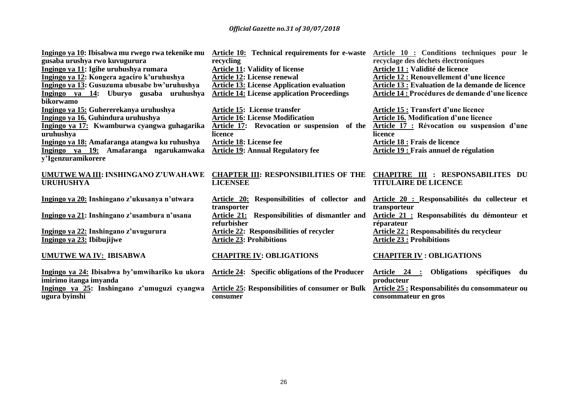| Ingingo ya 10: Ibisabwa mu rwego rwa tekenike mu<br>gusaba urushya rwo kuvugurura | <b>Article 10:</b> Technical requirements for e-waste<br>recycling | Article 10 : Conditions techniques pour le<br>recyclage des déchets électroniques |
|-----------------------------------------------------------------------------------|--------------------------------------------------------------------|-----------------------------------------------------------------------------------|
| Ingingo ya 11: Igihe uruhushya rumara                                             | <b>Article 11: Validity of license</b>                             | Article 11 : Validité de licence                                                  |
| Ingingo ya 12: Kongera agaciro k'uruhushya                                        | <b>Article 12: License renewal</b>                                 | Article 12 : Renouvellement d'une licence                                         |
| Ingingo ya 13: Gusuzuma ubusabe bw'uruhushya                                      | <b>Article 13: License Application evaluation</b>                  | Article 13 : Evaluation de la demande de licence                                  |
| Ingingo ya 14: Uburyo gusaba uruhushya<br>bikorwamo                               | <b>Article 14: License application Proceedings</b>                 | Article 14 : Procédures de demande d'une licence                                  |
| Ingingo ya 15: Guhererekanya uruhushya                                            | <b>Article 15: License transfer</b>                                | <b>Article 15 : Transfert d'une licence</b>                                       |
| Ingingo ya 16. Guhindura uruhushya                                                | <b>Article 16: License Modification</b>                            | Article 16. Modification d'une licence                                            |
| Ingingo ya 17: Kwamburwa cyangwa guhagarika                                       | Article 17: Revocation or suspension of the                        | Article 17 : Révocation ou suspension d'une                                       |
| uruhushya                                                                         | licence                                                            | licence                                                                           |
| Ingingo ya 18: Amafaranga atangwa ku ruhushya                                     | Article 18: License fee                                            | Article 18 : Frais de licence                                                     |
| Ingingo ya 19: Amafaranga ngarukamwaka                                            | <b>Article 19: Annual Regulatory fee</b>                           | <b>Article 19 : Frais annuel de régulation</b>                                    |
| y'Igenzuramikorere                                                                |                                                                    |                                                                                   |
|                                                                                   |                                                                    |                                                                                   |
| UMUTWE WA III: INSHINGANO Z'UWAHAWE                                               | <b>CHAPTER III: RESPONSIBILITIES OF THE</b>                        | <b>CHAPITRE III : RESPONSABILITES DU</b>                                          |
| <b>URUHUSHYA</b>                                                                  | <b>LICENSEE</b>                                                    | <b>TITULAIRE DE LICENCE</b>                                                       |
|                                                                                   |                                                                    |                                                                                   |
| Ingingo ya 20: Inshingano z'ukusanya n'utwara                                     | Article 20: Responsibilities of collector and                      | Article 20 : Responsabilités du collecteur et                                     |
|                                                                                   | transporter                                                        | transporteur                                                                      |
| Ingingo ya 21: Inshingano z'usambura n'usana                                      | <b>Article 21:</b> Responsibilities of dismantler and              | Article 21 : Responsabilités du démonteur et                                      |
|                                                                                   | refurbisher                                                        | réparateur                                                                        |
| Ingingo ya 22: Inshingano z'uvugurura                                             | <b>Article 22: Responsibilities of recycler</b>                    | <b>Article 22 : Responsabilités du recycleur</b>                                  |
| Ingingo ya 23: Ibibujijwe                                                         | <b>Article 23: Prohibitions</b>                                    | <b>Article 23 : Prohibitions</b>                                                  |
| <b>UMUTWE WA IV: IBISABWA</b>                                                     | <b>CHAPITRE IV: OBLIGATIONS</b>                                    | <b>CHAPITER IV: OBLIGATIONS</b>                                                   |
|                                                                                   |                                                                    |                                                                                   |
| Ingingo ya 24: Ibisabwa by'umwihariko ku ukora                                    | <b>Article 24:</b> Specific obligations of the Producer            | <u>Article 24 :</u><br><b>Obligations</b><br>spécifiques du                       |
| imirimo itanga imyanda                                                            |                                                                    | producteur                                                                        |
| Ingingo ya 25: Inshingano z'umuguzi cyangwa                                       | <b>Article 25: Responsibilities of consumer or Bulk</b>            | Article 25 : Responsabilités du consommateur ou                                   |
| ugura byinshi                                                                     | consumer                                                           | consommateur en gros                                                              |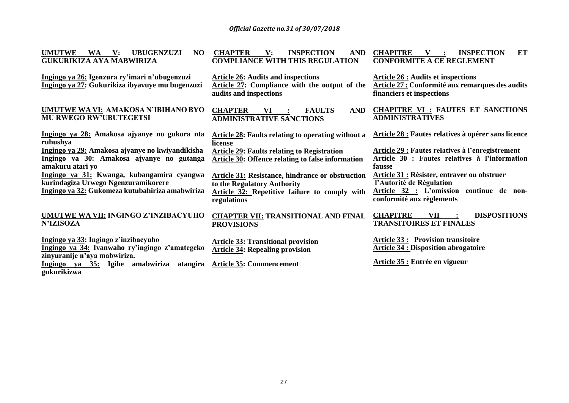| <b>UMUTWE</b><br><b>UBUGENZUZI</b><br>NO<br><b>WA</b><br>$\mathbf{V}$ :<br><b>GUKURIKIZA AYA MABWIRIZA</b>              | <b>CHAPTER</b><br><b>INSPECTION</b><br>$\mathbf{V}$ :<br><b>AND</b><br><b>COMPLIANCE WITH THIS REGULATION</b>        | <b>CHAPITRE</b><br>ET<br><b>INSPECTION</b><br><b>CONFORMITE A CE REGLEMENT</b>                                             |
|-------------------------------------------------------------------------------------------------------------------------|----------------------------------------------------------------------------------------------------------------------|----------------------------------------------------------------------------------------------------------------------------|
| Ingingo ya 26: Igenzura ry'imari n'ubugenzuzi<br>Ingingo ya 27: Gukurikiza ibyavuye mu bugenzuzi                        | <b>Article 26: Audits and inspections</b><br>Article 27: Compliance with the output of the<br>audits and inspections | <b>Article 26 : Audits et inspections</b><br>Article 27 : Conformité aux remarques des audits<br>financiers et inspections |
| UMUTWE WA VI: AMAKOSA N'IBIHANO BYO<br><b>MU RWEGO RW'UBUTEGETSI</b>                                                    | <b>CHAPTER</b><br><b>AND</b><br>VI<br><b>FAULTS</b><br><b>ADMINISTRATIVE SANCTIONS</b>                               | <b>CHAPITRE VI : FAUTES ET SANCTIONS</b><br><b>ADMINISTRATIVES</b>                                                         |
| Ingingo ya 28: Amakosa ajyanye no gukora nta<br>ruhushya                                                                | <b>Article 28: Faults relating to operating without a</b><br>license                                                 | <b>Article 28 : Fautes relatives à opérer sans licence</b>                                                                 |
| Ingingo ya 29: Amakosa ajyanye no kwiyandikisha<br><u>Ingingo ya 30:</u> Amakosa ajyanye no gutanga<br>amakuru atari yo | <b>Article 29: Faults relating to Registration</b><br>Article 30: Offence relating to false information              | <b>Article 29 : Fautes relatives à l'enregistrement</b><br>Article 30 : Fautes relatives à l'information<br>fausse         |
| Ingingo ya 31: Kwanga, kubangamira cyangwa<br>kurindagiza Urwego Ngenzuramikorere                                       | <b>Article 31: Resistance, hindrance or obstruction</b><br>to the Regulatory Authority                               | <b>Article 31 : Résister, entraver ou obstruer</b><br>l'Autorité de Régulation                                             |
| Ingingo ya 32: Gukomeza kutubahiriza amabwiriza                                                                         | Article 32: Repetitive failure to comply with<br>regulations                                                         | Article 32 : L'omission continue de non-<br>conformité aux règlements                                                      |
| UMUTWE WA VII: INGINGO Z'INZIBACYUHO<br><b>N'IZISOZA</b>                                                                | <b>CHAPTER VII: TRANSITIONAL AND FINAL</b><br><b>PROVISIONS</b>                                                      | <b>DISPOSITIONS</b><br><b>CHAPITRE</b><br>VII<br><b>TRANSITOIRES ET FINALES</b>                                            |
| Ingingo ya 33: Ingingo z'inzibacyuho<br>Ingingo ya 34: Ivanwaho ry'ingingo z'amategeko<br>zinyuranije n'aya mabwiriza.  | <b>Article 33: Transitional provision</b><br><b>Article 34: Repealing provision</b>                                  | <b>Article 33: Provision transitoire</b><br><b>Article 34 : Disposition abrogatoire</b>                                    |
| Ingingo ya 35: Igihe amabwiriza<br>atangira                                                                             | <b>Article 35: Commencement</b>                                                                                      | Article 35 : Entrée en vigueur                                                                                             |

**gukurikizwa**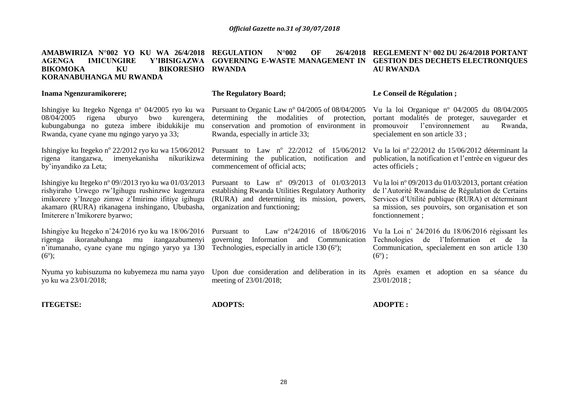| AMABWIRIZA N°002 YO KU WA 26/4/2018<br><b>AGENGA</b><br><b>IMICUNGIRE</b><br>Y'IBISIGAZWA<br><b>BIKOMOKA</b><br>KU<br><b>BIKORESHO</b><br><b>KORANABUHANGA MU RWANDA</b>                                                                            | OF<br><b>REGULATION</b><br>$N^{\circ}002$<br>26/4/2018<br><b>GOVERNING E-WASTE MANAGEMENT IN</b><br><b>RWANDA</b>                                                                              | REGLEMENT N° 002 DU 26/4/2018 PORTANT<br><b>GESTION DES DECHETS ELECTRONIQUES</b><br><b>AU RWANDA</b>                                                                                                                                  |
|-----------------------------------------------------------------------------------------------------------------------------------------------------------------------------------------------------------------------------------------------------|------------------------------------------------------------------------------------------------------------------------------------------------------------------------------------------------|----------------------------------------------------------------------------------------------------------------------------------------------------------------------------------------------------------------------------------------|
| Inama Ngenzuramikorere;                                                                                                                                                                                                                             | <b>The Regulatory Board;</b>                                                                                                                                                                   | Le Conseil de Régulation ;                                                                                                                                                                                                             |
| Ishingiye ku Itegeko Ngenga n <sup>o</sup> 04/2005 ryo ku wa<br>08/04/2005<br>bwo<br>rigena<br>uburyo<br>kurengera,<br>kubungabunga no guteza imbere ibidukikije mu<br>Rwanda, cyane cyane mu ngingo yaryo ya 33;                                   | Pursuant to Organic Law $n^{\circ}$ 04/2005 of 08/04/2005<br>determining the modalities<br>of protection,<br>conservation and promotion of environment in<br>Rwanda, especially in article 33; | Vu la loi Organique nº 04/2005 du 08/04/2005<br>portant modalités de proteger,<br>sauvegarder et<br>l'environnement<br>promouvoir<br>Rwanda,<br>au<br>specialement en son article 33;                                                  |
| Ishingiye ku Itegeko n° 22/2012 ryo ku wa 15/06/2012<br>imenyekanisha<br>itangazwa,<br>níkurikizwa<br>rigena<br>by'inyandiko za Leta;                                                                                                               | Pursuant to Law $n^{\circ}$ 22/2012<br>of 15/06/2012<br>determining the publication,<br>notification and<br>commencement of official acts;                                                     | Vu la loi nº 22/2012 du 15/06/2012 déterminant la<br>publication, la notification et l'entrée en vigueur des<br>actes officiels;                                                                                                       |
| Ishingiye ku Itegeko nº 09//2013 ryo ku wa 01/03/2013<br>rishyiraho Urwego rw'Igihugu rushinzwe kugenzura<br>imikorere y'Inzego zimwe z'Imirimo ifitiye igihugu<br>akamaro (RURA) rikanagena inshingano, Ububasha,<br>Imiterere n'Imikorere byarwo; | Pursuant to Law nº 09/2013 of 01/03/2013<br>establishing Rwanda Utilities Regulatory Authority<br>(RURA) and determining its mission, powers,<br>organization and functioning;                 | Vu la loi nº 09/2013 du 01/03/2013, portant création<br>de l'Autorité Rwandaise de Régulation de Certains<br>Services d'Utilité publique (RURA) et déterminant<br>sa mission, ses pouvoirs, son organisation et son<br>fonctionnement; |
| Ishingiye ku Itegeko n°24/2016 ryo ku wa 18/06/2016<br>ikoranabuhanga<br>itangazabumenyi<br>rigenga<br>mu<br>n'itumanaho, cyane cyane mu ngingo yaryo ya 130<br>$(6^{\circ})$ ;                                                                     | Law $n^{\circ}24/2016$ of $18/06/2016$<br>Pursuant to<br>Information<br>Communication<br>governing<br>and<br>Technologies, especially in article $130(6^{\circ})$ ;                            | Vu la Loi n° 24/2016 du 18/06/2016 régissant les<br>Technologies de l'Information<br>et de<br>la<br>Communication, specialement en son article 130<br>$(6^{\circ})$ ;                                                                  |
| Nyuma yo kubisuzuma no kubyemeza mu nama yayo<br>yo ku wa 23/01/2018;                                                                                                                                                                               | meeting of 23/01/2018;                                                                                                                                                                         | Upon due consideration and deliberation in its Après examen et adoption en sa séance du<br>23/01/2018;                                                                                                                                 |

**ADOPTS:**

**ADOPTE :**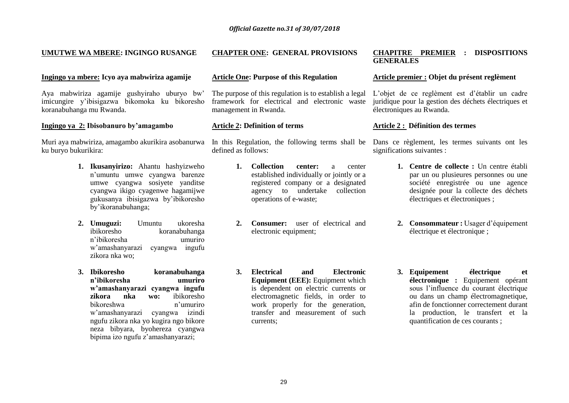# **UMUTWE WA MBERE: INGINGO RUSANGE**

#### **Ingingo ya mbere: Icyo aya mabwiriza agamije**

Aya mabwiriza agamije gushyiraho uburyo bw' imicungire y'ibisigazwa bikomoka ku bikoresho koranabuhanga mu Rwanda.

#### **Ingingo ya 2: Ibisobanuro by'amagambo**

Muri aya mabwiriza, amagambo akurikira asobanurwa ku buryo bukurikira:

- **1. Ikusanyirizo:** Ahantu hashyizweho n'umuntu umwe cyangwa barenze umwe cyangwa sosiyete yanditse cyangwa ikigo cyagenwe hagamijwe gukusanya ibisigazwa by'ibikoresho by'ikoranabuhanga;
- **2. Umuguzi:** Umuntu ukoresha koranabuhanga n'ibikoresha umuriro w'amashanyarazi cyangwa ingufu zikora nka wo;
- **3. Ibikoresho koranabuhanga n'ibikoresha umuriro w'amashanyarazi cyangwa ingufu zikora nka wo:** ibikoresho bikoreshwa n'umuriro w'amashanyarazi cyangwa izindi ngufu zikora nka yo kugira ngo bikore neza bibyara, byohereza cyangwa bipima izo ngufu z'amashanyarazi;

# **CHAPTER ONE: GENERAL PROVISIONS**

#### **Article One: Purpose of this Regulation**

The purpose of this regulation is to establish a legal framework for electrical and electronic waste management in Rwanda.

#### **Article 2: Definition of terms**

defined as follows:

- **1. Collection center:** a center established individually or jointly or a registered company or a designated agency to undertake collection operations of e-waste;
- **2. Consumer:** user of electrical and electronic equipment;
- **3. Electrical and Electronic Equipment (EEE):** Equipment which is dependent on electric currents or electromagnetic fields, in order to work properly for the generation, transfer and measurement of such currents;

#### **CHAPITRE PREMIER : DISPOSITIONS GENERALES**

#### **Article premier : Objet du présent reglèment**

L'objet de ce reglèment est d'établir un cadre juridique pour la gestion des déchets électriques et électroniques au Rwanda.

#### **Article 2 : Définition des termes**

In this Regulation, the following terms shall be Dans ce règlement, les termes suivants ont les significations suivantes :

- **1. Centre de collecte :** Un centre établi par un ou plusieures personnes ou une société enregistrée ou une agence designée pour la collecte des déchets électriques et électroniques ;
- **2. Consommateur :** Usager d'équipement électrique et électronique ;
- **3. Equipement électrique et électronique :** Equipement opérant sous l'influence du courant électrique ou dans un champ électromagnetique, afin de fonctionner correctement durant la production, le transfert et la quantification de ces courants ;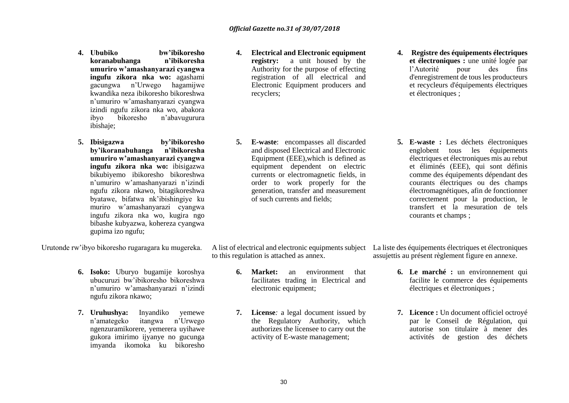- **4. Ububiko bw'ibikoresho koranabuhanga n'ibikoresha umuriro w'amashanyarazi cyangwa ingufu zikora nka wo:** agashami gacungwa n'Urwego hagamijwe kwandika neza ibikoresho bikoreshwa n'umuriro w'amashanyarazi cyangwa izindi ngufu zikora nka wo, abakora ibyo bikoresho n'abavugurura ibishaje;
- **5. Ibisigazwa by'ibikoresho by'ikoranabuhanga n'ibikoresha umuriro w'amashanyarazi cyangwa ingufu zikora nka wo:** ibisigazwa bikubiyemo ibikoresho bikoreshwa n'umuriro w'amashanyarazi n'izindi ngufu zikora nkawo, bitagikoreshwa byatawe, bifatwa nk'ibishingiye ku muriro w'amashanyarazi cyangwa ingufu zikora nka wo, kugira ngo bibashe kubyazwa, kohereza cyangwa gupima izo ngufu;

Urutonde rw'ibyo bikoresho rugaragara ku mugereka.

- **6. Isoko:** Uburyo bugamije koroshya ubucuruzi bw'ibikoresho bikoreshwa n'umuriro w'amashanyarazi n'izindi ngufu zikora nkawo;
- **7. Uruhushya:** Inyandiko yemewe n'amategeko itangwa n'Urwego ngenzuramikorere, yemerera uyihawe gukora imirimo ijyanye no gucunga imyanda ikomoka ku bikoresho
- **4. Electrical and Electronic equipment registry:** a unit housed by the Authority for the purpose of effecting registration of all electrical and Electronic Equipment producers and recyclers;
- **5. E-waste**: encompasses all discarded and disposed Electrical and Electronic Equipment (EEE),which is defined as equipment dependent on electric currents or electromagnetic fields, in order to work properly for the generation, transfer and measurement of such currents and fields;
- **4. Registre des équipements électriques et électroniques :** une unité logée par l'Autorité pour des fins d'enregistrement de tous les producteurs et recycleurs d'équipements électriques et électroniques ;
- **5. E-waste :** Les déchets électroniques englobent tous les équipements électriques et électroniques mis au rebut et éliminés (EEE), qui sont définis comme des équipements dépendant des courants électriques ou des champs électromagnétiques, afin de fonctionner correctement pour la production, le transfert et la mesuration de tels courants et champs ;

to this regulation is attached as annex.

- **6. Market:** an environment that facilitates trading in Electrical and electronic equipment;
- **7. License***:* a legal document issued by the Regulatory Authority, which authorizes the licensee to carry out the activity of E-waste management;

A list of electrical and electronic equipments subject La liste des équipements électriques et électroniques assujettis au présent règlement figure en annexe.

- **6. Le marché :** un environnement qui facilite le commerce des équipements électriques et électroniques ;
- **7. Licence :** Un document officiel octroyé par le Conseil de Régulation, qui autorise son titulaire à mener des activités de gestion des déchets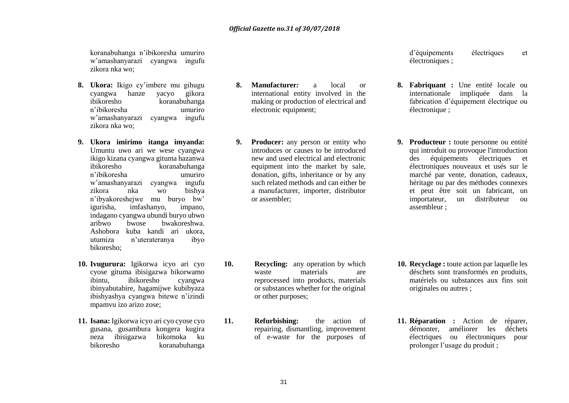koranabuhanga n'ibikoresha umuriro w'amashanyarazi cyangwa ingufu zikora nka wo;

- 8. **Ukora:** Ikigo cy'imbere mu gihugu cyangwa hanze yacyo gikora cyangwa hanze yacyo ibikoresho koranabuhanga n'ibikoresha umuriro w'amashanyarazi cyangwa ingufu zikora nka wo;
- **9. Ukora imirimo itanga imyanda:**  Umuntu uwo ari we wese cyangwa ikigo kizana cyangwa gituma hazanwa ibikoresho koranabuhanga n'ibikoresha umuriro w'amashanyarazi cyangwa ingufu zikora nka wo bishya n'ibyakoreshejwe mu buryo bw' igurisha, imfashanyo, indagano cyangwa ubundi buryo ubwo aribwo bwose bwakoreshwa. Ashobora kuba kandi ari ukora, utumiza n'uterateranya ibyo bikoresho;
- **10. Ivugurura:** Igikorwa icyo ari cyo cyose gituma ibisigazwa bikorwamo ibintu, ibikoresho cyangwa ibinyabutabire, hagamijwe kubibyaza ibishyashya cyangwa bitewe n'izindi mpamvu izo arizo zose;
- **11. Isana:** Igikorwa icyo ari cyo cyose cyo gusana, gusambura kongera kugira neza ibisigazwa bikomoka ku bikoresho koranabuhanga

**8. Manufacturer***:* a local or international entity involved in the making or production of electrical and electronic equipment;

**9. Producer:** any person or entity who introduces or causes to be introduced new and used electrical and electronic equipment into the market by sale, donation, gifts, inheritance or by any such related methods and can either be a manufacturer, importer, distributor or assembler;

- **10. Recycling:** any operation by which waste materials are reprocessed into products, materials or substances whether for the original or other purposes;
- **11. Refurbishing:** the action of repairing, dismantling, improvement of e-waste for the purposes of

d'équipements électriques et électroniques ;

- **8. Fabriquant :** Une entité locale ou internationale impliquée dans la fabrication d'équipement électrique ou électronique ;
- **9. Producteur :** toute personne ou entité qui introduit ou provoque l'introduction des équipements électriques et électroniques nouveaux et usés sur le marché par vente, donation, cadeaux, héritage ou par des méthodes connexes et peut être soit un fabricant, un importateur, un distributeur ou assembleur ;

- **10. Recyclage :** toute action par laquelle les déschets sont transformés en produits, matériels ou substances aux fins soit originales ou autres ;
- **11. Réparation :** Action de réparer, démonter, améliorer les déchets électriques ou électroniques pour prolonger l'usage du produit ;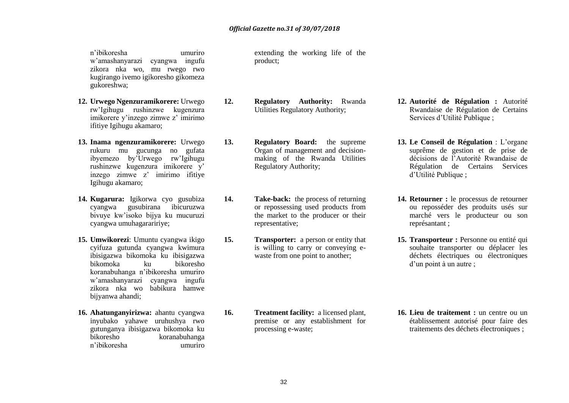n'ibikoresha umuriro w'amashanyarazi cyangwa ingufu zikora nka wo, mu rwego rwo kugirango ivemo igikoresho gikomeza gukoreshwa;

- **12. Urwego Ngenzuramikorere:** Urwego rw'Igihugu rushinzwe kugenzura imikorere y'inzego zimwe z' imirimo ifitiye Igihugu akamaro;
- **13. Inama ngenzuramikorere:** Urwego rukuru mu gucunga no gufata ibyemezo by'Urwego rw'Igihugu rushinzwe kugenzura imikorere y' inzego zimwe z' imirimo ifitiye Igihugu akamaro;
- **14. Kugarura:** Igikorwa cyo gusubiza cyangwa gusubirana ibicuruzwa bivuye kw'isoko bijya ku mucuruzi cyangwa umuhagaraririye;
- **15. Umwikorezi**: Umuntu cyangwa ikigo cyifuza gutunda cyangwa kwimura ibisigazwa bikomoka ku ibisigazwa bikomoka ku bikoresho koranabuhanga n'ibikoresha umuriro w'amashanyarazi cyangwa ingufu zikora nka wo babikura hamwe bijyanwa ahandi;
- **16. Ahatunganyirizwa:** ahantu cyangwa inyubako yahawe uruhushya rwo gutunganya ibisigazwa bikomoka ku bikoresho koranabuhanga n'ibikoresha umuriro

extending the working life of the product;

- **12. Regulatory Authority:** Rwanda Utilities Regulatory Authority;
- **13. Regulatory Board:** the supreme Organ of management and decisionmaking of the Rwanda Utilities Regulatory Authority;
- **14. Take-back:** the process of returning or repossessing used products from the market to the producer or their representative;
- **15. Transporter:** a person or entity that is willing to carry or conveying ewaste from one point to another;

**16. Treatment facility:** a licensed plant, premise or any establishment for processing e-waste;

- **12. Autorité de Régulation :** Autorité Rwandaise de Régulation de Certains Services d'Utilité Publique ;
- **13. Le Conseil de Régulation** : L'organe suprême de gestion et de prise de décisions de l'Autorité Rwandaise de Régulation de Certains Services d'Utilité Publique ;
- **14. Retourner :** le processus de retourner ou reposséder des produits usés sur marché vers le producteur ou son représantant ;
- **15. Transporteur :** Personne ou entité qui souhaite transporter ou déplacer les déchets électriques ou électroniques d'un point à un autre ;

**16. Lieu de traitement :** un centre ou un établissement autorisé pour faire des traitements des déchets électroniques ;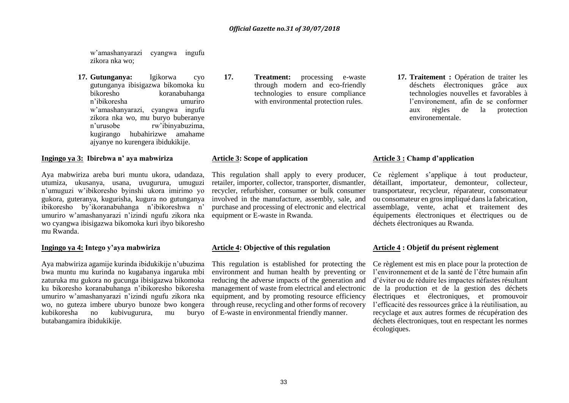w'amashanyarazi cyangwa ingufu zikora nka wo;

**17. Gutunganya:** Igikorwa cyo gutunganya ibisigazwa bikomoka ku koranabuhanga n'ibikoresha umuriro w'amashanyarazi, cyangwa ingufu zikora nka wo, mu buryo buberanye n'urusobe rw'ibinyabuzima, kugirango hubahirizwe amahame ajyanye no kurengera ibidukikije.

#### **Ingingo ya 3: Ibirebwa n' aya mabwiriza**

Aya mabwiriza areba buri muntu ukora, udandaza, utumiza, ukusanya, usana, uvugurura, umuguzi n'umuguzi w'ibikoresho byinshi ukora imirimo yo gukora, guteranya, kugurisha, kugura no gutunganya ibikoresho by'ikoranabuhanga n'ibikoreshwa n' umuriro w'amashanyarazi n'izindi ngufu zikora nka wo cyangwa ibisigazwa bikomoka kuri ibyo bikoresho mu Rwanda.

#### **Ingingo ya 4: Intego y'aya mabwiriza**

Aya mabwiriza agamije kurinda ibidukikije n'ubuzima bwa muntu mu kurinda no kugabanya ingaruka mbi zaturuka mu gukora no gucunga ibisigazwa bikomoka ku bikoresho koranabuhanga n'ibikoresho bikoresha umuriro w'amashanyarazi n'izindi ngufu zikora nka wo, no guteza imbere uburyo bunoze bwo kongera kubikoresha no kubivugurura, mu butabangamira ibidukikije.

**17. Treatment:** processing e-waste through modern and eco-friendly technologies to ensure compliance with environmental protection rules.

#### **Article 3: Scope of application**

This regulation shall apply to every producer, retailer, importer, collector, transporter, dismantler, recycler, refurbisher, consumer or bulk consumer involved in the manufacture, assembly, sale, and purchase and processing of electronic and electrical equipment or E-waste in Rwanda.

#### **Article 4: Objective of this regulation**

This regulation is established for protecting the environment and human health by preventing or reducing the adverse impacts of the generation and management of waste from electrical and electronic equipment, and by promoting resource efficiency through reuse, recycling and other forms of recovery buryo of E-waste in environmental friendly manner.

**17. Traitement :** Opération de traiter les déschets électroniques grâce aux technologies nouvelles et favorables à l'environement, afin de se conformer aux règles de la protection environementale.

# **Article 3 : Champ d'application**

Ce règlement s'applique à tout producteur, détaillant, importateur, demonteur, collecteur, transportateur, recycleur, réparateur, consomateur ou consomateur en gros impliqué dans la fabrication, assemblage, vente, achat et traitement des équipements électroniques et électriques ou de déchets électroniques au Rwanda.

#### **Article 4 : Objetif du présent règlement**

Ce règlement est mis en place pour la protection de l'environnement et de la santé de l'être humain afin d'éviter ou de réduire les impactes néfastes résultant de la production et de la gestion des déchets électriques et électroniques, et promouvoir l'efficacité des ressources grâce à la réutilisation, au recyclage et aux autres formes de récupération des déchets électroniques, tout en respectant les normes écologiques.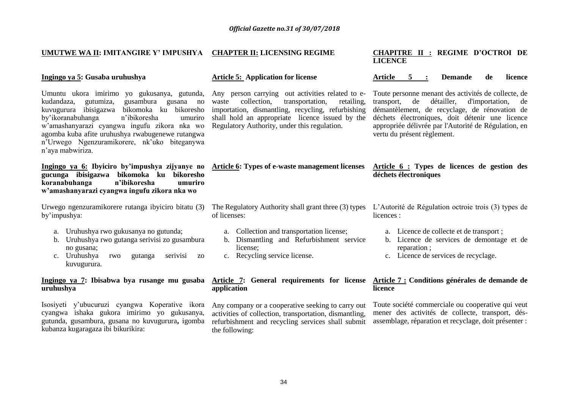# **UMUTWE WA II: IMITANGIRE Y' IMPUSHYA CHAPTER II: LICENSING REGIME**

#### **Ingingo ya 5: Gusaba uruhushya**

Umuntu ukora imirimo yo gukusanya, gutunda, kudandaza, gutumiza, gusambura gusana no kuvugurura ibisigazwa bikomoka ku bikoresho by'ikoranabuhanga n'ibikoresha umuriro w'amashanyarazi cyangwa ingufu zikora nka wo agomba kuba afite uruhushya rwabugenewe rutangwa n'Urwego Ngenzuramikorere, nk'uko biteganywa n'aya mabwiriza.

**Ingingo ya 6: Ibyiciro by'impushya zijyanye no gucunga ibisigazwa bikomoka ku bikoresho koranabuhanga n'ibikoresha umuriro w'amashanyarazi cyangwa ingufu zikora nka wo**

Urwego ngenzuramikorere rutanga ibyiciro bitatu (3) The Regulatory Authority shall grant three (3) types L'Autorité de Régulation octroie trois (3) types de by'impushya:

- a. Uruhushya rwo gukusanya no gutunda;
- b. Uruhushya rwo gutanga serivisi zo gusambura no gusana;<br>c. Uruhushya rwo
- gutanga serivisi zo kuvugurura.

### **Ingingo ya 7: Ibisabwa bya rusange mu gusaba uruhushya**

Isosiyeti y'ubucuruzi cyangwa Koperative ikora cyangwa ishaka gukora imirimo yo gukusanya, gutunda, gusambura, gusana no kuvugurura**,** igomba kubanza kugaragaza ibi bikurikira:

### **Article 5: Application for license**

Any person carrying out activities related to e-<br>waste collection, transportation, retailing, waste collection, transportation, retailing, importation, dismantling, recycling, refurbishing shall hold an appropriate licence issued by the Regulatory Authority, under this regulation.

**Article 6: Types of e-waste management licenses Article 6 : Types de licences de gestion des** 

of licenses:

- a. Collection and transportation license;
- b. Dismantling and Refurbishment service license;
- c. Recycling service license.

#### **Article 7: General requirements for license application**

Any company or a cooperative seeking to carry out activities of collection, transportation, dismantling, refurbishment and recycling services shall submit the following:

#### **CHAPITRE II : REGIME D'OCTROI DE LICENCE**

#### **Article 5 : Demande de licence**

Toute personne menant des activités de collecte, de transport, de détailler, d'importation, de démantèlement, de recyclage, de rénovation de déchets électroniques, doit détenir une licence appropriée délivrée par l'Autorité de Régulation, en vertu du présent règlement.

# **déchets électroniques**

licences :

- a. Licence de collecte et de transport ;
- b. Licence de services de demontage et de reparation ;
- c. Licence de services de recyclage.

#### **Article 7 : Conditions générales de demande de licence**

Toute société commerciale ou cooperative qui veut mener des activités de collecte, transport, désassemblage, réparation et recyclage, doit présenter :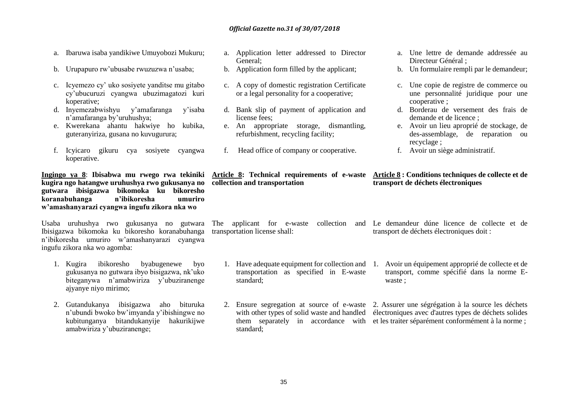- a. Ibaruwa isaba yandikiwe Umuyobozi Mukuru;
- b. Urupapuro rw'ubusabe rwuzuzwa n'usaba;
- c. Icyemezo cy' uko sosiyete yanditse mu gitabo cy'ubucuruzi cyangwa ubuzimagatozi kuri koperative;
- d. Inyemezabwishyu y'amafaranga y'isaba n'amafaranga by'uruhushya;
- e. Kwerekana ahantu hakwiye ho kubika, guteranyiriza, gusana no kuvugurura;
- f. Icyicaro gikuru cya sosiyete cyangwa koperative.

**Ingingo ya 8**: **Ibisabwa mu rwego rwa tekiniki kugira ngo hatangwe uruhushya rwo gukusanya no gutwara ibisigazwa bikomoka ku bikoresho koranabuhanga n'ibikoresha umuriro w'amashanyarazi cyangwa ingufu zikora nka wo**

Ibisigazwa bikomoka ku bikoresho koranabuhanga n'ibikoresha umuriro w'amashanyarazi cyangwa ingufu zikora nka wo agomba:

- 1. Kugira ibikoresho byabugenewe byo gukusanya no gutwara ibyo bisigazwa, nk'uko biteganywa n'amabwiriza y'ubuziranenge ajyanye niyo mirimo;
- 2. Gutandukanya ibisigazwa aho bituruka n'ubundi bwoko bw'imyanda y'ibishingwe no kubitunganya bitandukanyije hakurikijwe amabwiriza y'ubuziranenge;
- a. Application letter addressed to Director General;
- b. Application form filled by the applicant;
- c. A copy of domestic registration Certificate or a legal personality for a cooperative;
- d. Bank slip of payment of application and license fees;
- e. An appropriate storage, dismantling, refurbishment, recycling facility;
- f. Head office of company or cooperative.

**collection and transportation**

- a. Une lettre de demande addressée au Directeur Général ;
- b. Un formulaire rempli par le demandeur;
- c. Une copie de registre de commerce ou une personnalité juridique pour une cooperative ;
- d. Borderau de versement des frais de demande et de licence ;
- e. Avoir un lieu aproprié de stockage, de des-assemblage, de reparation ou recyclage ;
- f. Avoir un siège administratif.

# **Article 8: Technical requirements of e-waste Article 8 : Conditions techniques de collecte et de transport de déchets électroniques**

transportation license shall:

- transportation as specified in E-waste standard;
- 2. Ensure segregation at source of e-waste 2. Assurer une ségrégation à la source les déchets with other types of solid waste and handled électroniques avec d'autres types de déchets solides them separately in accordance with et les traiter séparément conformément à la norme ; standard;
- Usaba uruhushya rwo gukusanya no gutwara The applicant for e-waste collection and Le demandeur dúne licence de collecte et de transport de déchets électroniques doit :
	- 1. Have adequate equipment for collection and 1. Avoir un équipement approprié de collecte et de transport, comme spécifié dans la norme Ewaste ;
		-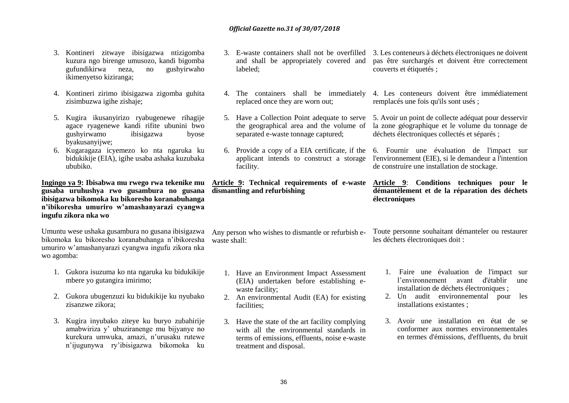- 3. Kontineri zitwaye ibisigazwa ntizigomba kuzura ngo birenge umusozo, kandi bigomba gufundikirwa neza, no ikimenyetso kiziranga;
- 4. Kontineri zirimo ibisigazwa zigomba guhita zisimbuzwa igihe zishaje;
- 5. Kugira ikusanyirizo ryabugenewe rihagije agace ryagenewe kandi rifite ubunini bwo gushyirwamo ibisigazwa byose byakusanyijwe;
- 6. Kugaragaza icyemezo ko nta ngaruka ku bidukikije (EIA), igihe usaba ashaka kuzubaka ububiko.

**Ingingo ya 9: Ibisabwa mu rwego rwa tekenike mu gusaba uruhushya rwo gusambura no gusana ibisigazwa bikomoka ku bikoresho koranabuhanga n'ibikoresha umuriro w'amashanyarazi cyangwa ingufu zikora nka wo**

Umuntu wese ushaka gusambura no gusana ibisigazwa bikomoka ku bikoresho koranabuhanga n'ibikoresha umuriro w'amashanyarazi cyangwa ingufu zikora nka wo agomba:

- 1. Gukora isuzuma ko nta ngaruka ku bidukikije mbere yo gutangira imirimo;
- 2. Gukora ubugenzuzi ku bidukikije ku nyubako zisanzwe zikora;
- 3. Kugira inyubako ziteye ku buryo zubahirije amabwiriza y' ubuziranenge mu bijyanye no kurekura umwuka, amazi, n'urusaku rutewe n'ijugunywa ry'ibisigazwa bikomoka ku
- 3. E-waste containers shall not be overfilled 3. Les conteneurs à déchets électroniques ne doivent and shall be appropriately covered and labeled;
- 4. The containers shall be immediately replaced once they are worn out;
- 5. Have a Collection Point adequate to serve the geographical area and the volume of separated e-waste tonnage captured;
- 6. Provide a copy of a EIA certificate, if the applicant intends to construct a storage facility.

**dismantling and refurbishing**

waste shall:

- 1. Have an Environment Impact Assessment (EIA) undertaken before establishing ewaste facility;
- 2. An environmental Audit (EA) for existing facilities;
- 3. Have the state of the art facility complying with all the environmental standards in terms of emissions, effluents, noise e-waste treatment and disposal.

pas être surchargés et doivent être correctement couverts et étiquetés ;

4. Les conteneurs doivent être immédiatement remplacés une fois qu'ils sont usés ;

5. Avoir un point de collecte adéquat pour desservir la zone géographique et le volume du tonnage de déchets électroniques collectés et séparés ;

6. Fournir une évaluation de l'impact sur l'environnement (EIE), si le demandeur a l'intention de construire une installation de stockage.

**Article 9: Technical requirements of e-waste Article 9**: **Conditions techniques pour le démantèlement et de la réparation des déchets électroniques**

Any person who wishes to dismantle or refurbish e-Toute personne souhaitant démanteler ou restaurer les déchets électroniques doit :

- 1. Faire une évaluation de l'impact sur l'environnement avant d'établir une installation de déchets électroniques ;
- 2. Un audit environnemental pour les installations existantes ;
- 3. Avoir une installation en état de se conformer aux normes environnementales en termes d'émissions, d'effluents, du bruit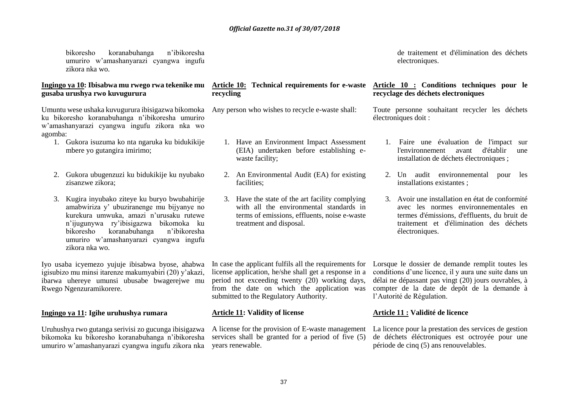bikoresho koranabuhanga n'ibikoresha umuriro w'amashanyarazi cyangwa ingufu zikora nka wo.

### **Ingingo ya 10: Ibisabwa mu rwego rwa tekenike mu Article 10: Technical requirements for e-waste Article 10 : Conditions techniques pour le gusaba urushya rwo kuvugurura**

Umuntu wese ushaka kuvugurura ibisigazwa bikomoka ku bikoresho koranabuhanga n'ibikoresha umuriro w'amashanyarazi cyangwa ingufu zikora nka wo agomba:

- 1. Gukora isuzuma ko nta ngaruka ku bidukikije mbere yo gutangira imirimo;
- 2. Gukora ubugenzuzi ku bidukikije ku nyubako zisanzwe zikora;
- 3. Kugira inyubako ziteye ku buryo bwubahirije amabwiriza y' ubuziranenge mu bijyanye no kurekura umwuka, amazi n'urusaku rutewe n'ijugunywa ry'ibisigazwa bikomoka ku bikoresho koranabuhanga n'ibikoresha umuriro w'amashanyarazi cyangwa ingufu zikora nka wo.

Iyo usaba icyemezo yujuje ibisabwa byose, ahabwa igisubizo mu minsi itarenze makumyabiri (20) y'akazi, ibarwa uhereye umunsi ubusabe bwagerejwe mu Rwego Ngenzuramikorere.

# **Ingingo ya 11: Igihe uruhushya rumara**

Uruhushya rwo gutanga serivisi zo gucunga ibisigazwa bikomoka ku bikoresho koranabuhanga n'ibikoresha umuriro w'amashanyarazi cyangwa ingufu zikora nka

# **recycling**

- Any person who wishes to recycle e-waste shall:
	- 1. Have an Environment Impact Assessment (EIA) undertaken before establishing ewaste facility;
	- 2. An Environmental Audit (EA) for existing facilities;
	- 3. Have the state of the art facility complying with all the environmental standards in terms of emissions, effluents, noise e-waste treatment and disposal.

de traitement et d'élimination des déchets electroniques.

# **recyclage des déchets electroniques**

Toute personne souhaitant recycler les déchets électroniques doit :

- 1. Faire une évaluation de l'impact sur l'environnement avant d'établir une installation de déchets électroniques ;
- 2. Un audit environnemental pour les installations existantes ;
- 3. Avoir une installation en état de conformité avec les normes environnementales en termes d'émissions, d'effluents, du bruit de traitement et d'élimination des déchets électroniques.

period not exceeding twenty (20) working days, from the date on which the application was submitted to the Regulatory Authority.

#### **Article 11: Validity of license**

A license for the provision of E-waste management services shall be granted for a period of five (5) years renewable.

In case the applicant fulfils all the requirements for Lorsque le dossier de demande remplit toutes les license application, he/she shall get a response in a conditions d'une licence, il y aura une suite dans un délai ne dépassant pas vingt (20) jours ouvrables, à compter de la date de depôt de la demande à l'Autorité de Régulation.

# **Article 11 : Validité de licence**

La licence pour la prestation des services de gestion de déchets éléctroniques est octroyée pour une période de cinq (5) ans renouvelables.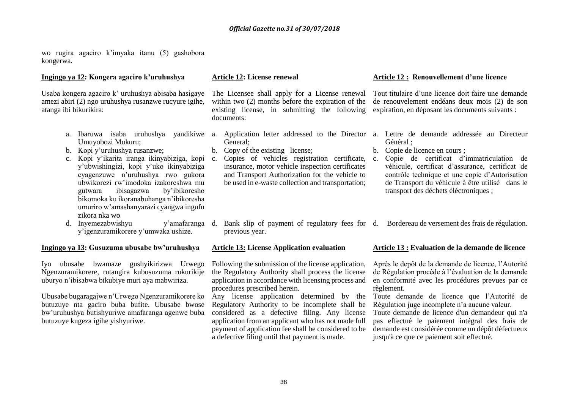wo rugira agaciro k'imyaka itanu (5) gashobora kongerwa.

#### **Ingingo ya 12: Kongera agaciro k'uruhushya**

Usaba kongera agaciro k' uruhushya abisaba hasigaye amezi abiri (2) ngo uruhushya rusanzwe rucyure igihe, atanga ibi bikurikira:

- Umuyobozi Mukuru;
- b. Kopi y'uruhushya rusanzwe;
- c. Kopi y'ikarita iranga ikinyabiziga, kopi y'ubwishingizi, kopi y'uko ikinyabiziga cyagenzuwe n'uruhushya rwo gukora ubwikorezi rw'imodoka izakoreshwa mu gutwara ibisagazwa by'ibikoresho bikomoka ku ikoranabuhanga n'ibikoresha umuriro w'amashanyarazi cyangwa ingufu zikora nka wo
- d. Invemezabwishyu y'igenzuramikorere y'umwaka ushize.

#### **Ingingo ya 13: Gusuzuma ubusabe bw'uruhushya**

Iyo ubusabe bwamaze gushyikirizwa Urwego Ngenzuramikorere, rutangira kubusuzuma rukurikije uburyo n'ibisabwa bikubiye muri aya mabwiriza.

Ubusabe bugaragajwe n'Urwego Ngenzuramikorere ko butuzuye nta gaciro buba bufite. Ubusabe bwose bw'uruhushya butishyuriwe amafaranga agenwe buba butuzuye kugeza igihe yishyuriwe.

#### **Article 12: License renewal**

existing license, in submitting the following expiration, en déposant les documents suivants : documents:

- General;
- b. Copy of the existing license;
- c. Copies of vehicles registration certificate, insurance, motor vehicle inspection certificates and Transport Authorization for the vehicle to be used in e-waste collection and transportation;
- d. Bank slip of payment of regulatory fees for d. Bordereau de versement des frais de régulation. previous year.

#### **Article 13: License Application evaluation**

Following the submission of the license application, the Regulatory Authority shall process the license application in accordance with licensing process and procedures prescribed herein.

Any license application determined by the Regulatory Authority to be incomplete shall be considered as a defective filing. Any license application from an applicant who has not made full payment of application fee shall be considered to be a defective filing until that payment is made.

#### **Article 12 : Renouvellement d'une licence**

The Licensee shall apply for a License renewal Tout titulaire d'une licence doit faire une demande within two (2) months before the expiration of the de renouvelement endéans deux mois (2) de son

- a. Ibaruwa isaba uruhushya yandikiwe a. Application letter addressed to the Director a. Lettre de demande addressée au Directeur Général ;
	- b. Copie de licence en cours ;
	- c. Copie de certificat d'immatriculation de véhicule, certificat d'assurance, certificat de contrôle technique et une copie d'Autorisation de Transport du véhicule à être utilisé dans le transport des déchets éléctroniques ;
	-

#### **Article 13 : Evaluation de la demande de licence**

Après le depôt de la demande de licence, l'Autorité de Régulation procède à l'évaluation de la demande en conformité avec les procédures prevues par ce règlement.

Toute demande de licence que l'Autorité de Régulation juge incomplete n'a aucune valeur.

Toute demande de licence d'un demandeur qui n'a pas effectué le paiement intégral des frais de demande est considérée comme un dépôt défectueux jusqu'à ce que ce paiement soit effectué.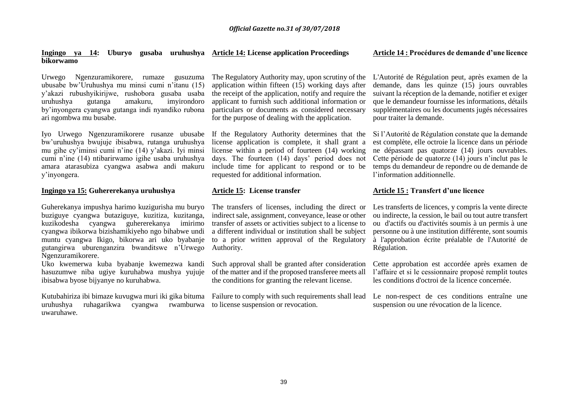#### **Ingingo ya 14: Uburyo gusaba uruhushya Article 14: License application Proceedings bikorwamo**

Urwego Ngenzuramikorere, rumaze gusuzuma ubusabe bw'Uruhushya mu minsi cumi n'itanu (15) y'akazi rubushyikirijwe, rushobora gusaba usaba uruhushya gutanga amakuru, imyirondoro by'inyongera cyangwa gutanga indi nyandiko rubona ari ngombwa mu busabe.

Iyo Urwego Ngenzuramikorere rusanze ubusabe If the Regulatory Authority determines that the bw'uruhushya bwujuje ibisabwa, rutanga uruhushya mu gihe cy'iminsi cumi n'ine (14) y'akazi. Iyi minsi cumi n'ine (14) ntibarirwamo igihe usaba uruhushya amara atarasubiza cyangwa asabwa andi makuru y'inyongera.

#### **Ingingo ya 15: Guhererekanya uruhushya**

Guherekanya impushya harimo kuzigurisha mu buryo buziguye cyangwa butaziguye, kuzitiza, kuzitanga, kuzikodesha cyangwa guhererekanya imirimo cyangwa ibikorwa bizishamikiyeho ngo bihabwe undi muntu cyangwa Ikigo, bikorwa ari uko byabanje gutangirwa uburenganzira bwanditswe n'Urwego Ngenzuramikorere.

Uko kwemerwa kuba byabanje kwemezwa kandi hasuzumwe niba ugiye kuruhabwa mushya yujuje ibisabwa byose bijyanye no kuruhabwa.

Kutubahiriza ibi bimaze kuvugwa muri iki gika bituma Failure to comply with such requirements shall lead Le non-respect de ces conditions entraîne une uruhushya ruhagarikwa cyangwa rwamburwa to license suspension or revocation. uwaruhawe.

The Regulatory Authority may, upon scrutiny of the application within fifteen (15) working days after the receipt of the application, notify and require the applicant to furnish such additional information or particulars or documents as considered necessary for the purpose of dealing with the application.

license application is complete, it shall grant a license within a period of fourteen (14) working days. The fourteen (14) days' period does not include time for applicant to respond or to be requested for additional information.

### **Article 15: License transfer**

The transfers of licenses, including the direct or indirect sale, assignment, conveyance, lease or other transfer of assets or activities subject to a license to a different individual or institution shall be subject to a prior written approval of the Regulatory Authority.

Such approval shall be granted after consideration of the matter and if the proposed transferee meets all the conditions for granting the relevant license.

# **Article 14 : Procédures de demande d'une licence**

L'Autorité de Régulation peut, après examen de la demande, dans les quinze (15) jours ouvrables suivant la réception de la demande, notifier et exiger que le demandeur fournisse les informations, détails supplémentaires ou les documents jugés nécessaires pour traiter la demande.

Si l'Autorité de Régulation constate que la demande est complète, elle octroie la licence dans un période ne dépassant pas quatorze (14) jours ouvrables. Cette période de quatorze (14) jours n'inclut pas le temps du demandeur de repondre ou de demande de l'information additionnelle.

# **Article 15 : Transfert d'une licence**

Les transferts de licences, y compris la vente directe ou indirecte, la cession, le bail ou tout autre transfert ou d'actifs ou d'activités soumis à un permis à une personne ou à une institution différente, sont soumis à l'approbation écrite préalable de l'Autorité de Régulation.

Cette approbation est accordée après examen de l'affaire et si le cessionnaire proposé remplit toutes les conditions d'octroi de la licence concernée.

suspension ou une révocation de la licence.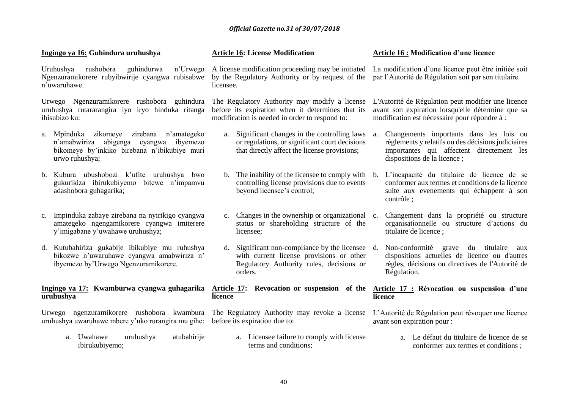# **Ingingo ya 16: Guhindura uruhushya**

Uruhushya rushobora guhindurwa n'Urwego Ngenzuramikorere rubyibwirije cyangwa rubisabwe n'uwaruhawe.

Urwego Ngenzuramikorere rushobora guhindura uruhushya rutararangira iyo iryo hinduka ritanga ibisubizo ku:

- a. Mpinduka zikomeye zirebana n'amategeko n'amabwiriza abigenga cyangwa ibyemezo bikomeye by'inkiko birebana n'ibikubiye muri urwo ruhushya;
- b. Kubura ubushobozi k'ufite uruhushya bwo gukurikiza ibirukubiyemo bitewe n'impamvu adashobora guhagarika;
- c. Impinduka zabaye zirebana na nyirikigo cyangwa amategeko ngengamikorere cyangwa imiterere y'imigabane y'uwahawe uruhushya;
- d. Kutubahiriza gukabije ibikubiye mu ruhushya bikozwe n'uwaruhawe cyangwa amabwiriza n' ibyemezo by'Urwego Ngenzuramikorere.

#### **Ingingo ya 17: Kwamburwa cyangwa guhagarika Article 17: Revocation or suspension of the Article 17 : Révocation ou suspension d'une uruhushya**

Urwego ngenzuramikorere rushobora kwambura The Regulatory Authority may revoke a license L'Autorité de Régulation peut révoquer une licence uruhushya uwaruhawe mbere y'uko rurangira mu gihe: before its expiration due to:

a. Uwahawe uruhushya atubahirije ibirukubiyemo;

# **Article 16: License Modification**

A license modification proceeding may be initiated by the Regulatory Authority or by request of the par l'Autorité de Régulation soit par son titulaire. licensee.

The Regulatory Authority may modify a license before its expiration when it determines that its modification is needed in order to respond to:

- a. Significant changes in the controlling laws or regulations, or significant court decisions that directly affect the license provisions;
- b. The inability of the licensee to comply with b. controlling license provisions due to events beyond licensee's control;
- c. Changes in the ownership or organizational status or shareholding structure of the licensee;
- d. Significant non-compliance by the licensee d. with current license provisions or other Regulatory Authority rules, decisions or orders.

**licence** 

a. Licensee failure to comply with license terms and conditions;

# **Article 16 : Modification d'une licence**

La modification d'une licence peut être initiée soit

L'Autorité de Régulation peut modifier une licence avant son expiration lorsqu'elle détermine que sa modification est nécessaire pour répondre à :

a. Changements importants dans les lois ou règlements y relatifs ou des décisions judiciaires importantes qui affectent directement les dispositions de la licence ;

b. L'incapacité du titulaire de licence de se conformer aux termes et conditions de la licence suite aux evenements qui échappent à son contrôle ;

- Changement dans la propriété ou structure organisationnelle ou structure d'actions du titulaire de licence ;
- d. Non-conformité grave du titulaire aux dispositions actuelles de licence ou d'autres règles, décisions ou directives de l'Autorité de Régulation.

# **licence**

avant son expiration pour :

a. Le défaut du titulaire de licence de se conformer aux termes et conditions ;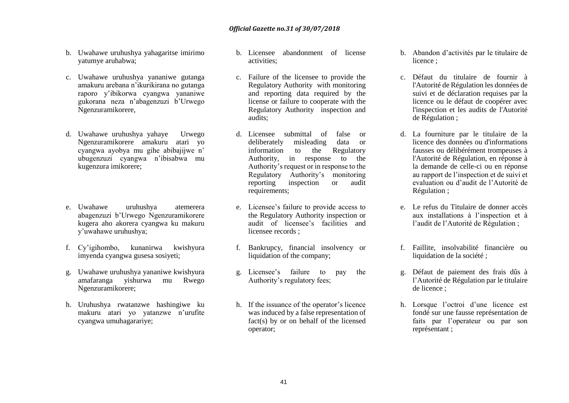- b. Uwahawe uruhushya yahagaritse imirimo yatumye aruhabwa;
- c. Uwahawe uruhushya yananiwe gutanga amakuru arebana n'ikurikirana no gutanga raporo y'ibikorwa cyangwa yananiwe gukorana neza n'abagenzuzi b'Urwego Ngenzuramikorere,
- d. Uwahawe uruhushya yahaye Urwego Ngenzuramikorere amakuru atari yo cyangwa ayobya mu gihe abibajijwe n' ubugenzuzi cyangwa n'ibisabwa mu kugenzura imikorere;
- e. Uwahawe uruhushya atemerera abagenzuzi b'Urwego Ngenzuramikorere kugera aho akorera cyangwa ku makuru y'uwahawe uruhushya;
- f. Cy'igihombo, kunanirwa kwishyura imyenda cyangwa gusesa sosiyeti;
- g. Uwahawe uruhushya yananiwe kwishyura amafaranga yishurwa mu Rwego Ngenzuramikorere;
- h. Uruhushya rwatanzwe hashingiwe ku makuru atari yo yatanzwe n'urufite cyangwa umuhagarariye;
- b. Licensee abandonment of license activities;
- c. Failure of the licensee to provide the Regulatory Authority with monitoring and reporting data required by the license or failure to cooperate with the Regulatory Authority inspection and audits;
- d. Licensee submittal of false or deliberately misleading data or information to the Regulatory Authority, in response to the Authority's request or in response to the Regulatory Authority's monitoring reporting inspection or audit requirements;
- e. Licensee's failure to provide access to the Regulatory Authority inspection or audit of licensee's facilities and licensee records ;
- f. Bankrupcy, financial insolvency or liquidation of the company;
- g. Licensee's failure to pay the Authority's regulatory fees;
- h. If the issuance of the operator's licence was induced by a false representation of fact(s) by or on behalf of the licensed operator;
- b. Abandon d'activités par le titulaire de licence :
- c. Défaut du titulaire de fournir à l'Autorité de Régulation les données de suivi et de déclaration requises par la licence ou le défaut de coopérer avec l'inspection et les audits de l'Autorité de Régulation ;
- d. La fourniture par le titulaire de la licence des données ou d'informations fausses ou délibérément trompeuses à l'Autorité de Régulation, en réponse à la demande de celle-ci ou en réponse au rapport de l'inspection et de suivi et evaluation ou d'audit de l'Autorité de Régulation ;
- e. Le refus du Titulaire de donner accès aux installations à l'inspection et à l'audit de l'Autorité de Régulation ;
- f. Faillite, insolvabilité financière ou liquidation de la société ;
- g. Défaut de paiement des frais dûs à l'Autorité de Régulation par le titulaire de licence ;
- h. Lorsque l'octroi d'une licence est fondé sur une fausse représentation de faits par l'operateur ou par son représentant ;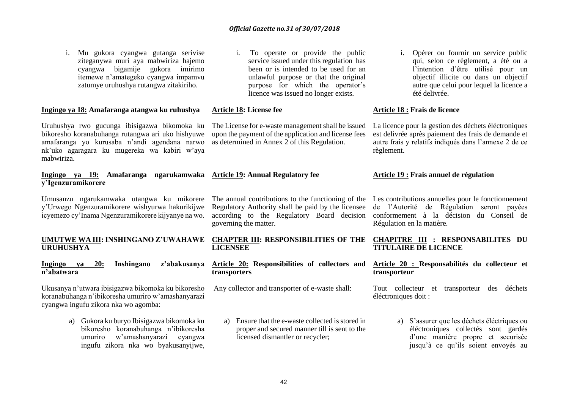42

### *Official Gazette no.31 of 30/07/2018*

i. Mu gukora cyangwa gutanga serivise ziteganywa muri aya mabwiriza hajemo cyangwa bigamije gukora imirimo itemewe n'amategeko cyangwa impamvu zatumye uruhushya rutangwa zitakiriho.

#### **Ingingo ya 18: Amafaranga atangwa ku ruhushya**

Uruhushya rwo gucunga ibisigazwa bikomoka ku bikoresho koranabuhanga rutangwa ari uko hishyuwe amafaranga yo kurusaba n'andi agendana narwo nk'uko agaragara ku mugereka wa kabiri w'aya mabwiriza.

#### **Ingingo ya 19: Amafaranga ngarukamwaka Article 19: Annual Regulatory fee y'Igenzuramikorere**

Umusanzu ngarukamwaka utangwa ku mikorere The annual contributions to the functioning of the Les contributions annuelles pour le fonctionnement y'Urwego Ngenzuramikorere wishyurwa hakurikijwe icyemezo cy'Inama Ngenzuramikorere kijyanye na wo.

# **URUHUSHYA**

#### **Ingingo ya 20: Inshingano z'abakusanya Article 20: Responsibilities of collectors and n'abatwara**

Ukusanya n'utwara ibisigazwa bikomoka ku bikoresho koranabuhanga n'ibikoresha umuriro w'amashanyarazi cyangwa ingufu zikora nka wo agomba:

> a) Gukora ku buryo Ibisigazwa bikomoka ku bikoresho koranabuhanga n'ibikoresha umuriro w'amashanyarazi cyangwa ingufu zikora nka wo byakusanyijwe,

i. To operate or provide the public service issued under this regulation has been or is intended to be used for an unlawful purpose or that the original purpose for which the operator's licence was issued no longer exists.

#### **Article 18: License fee**

The License for e-waste management shall be issued upon the payment of the application and license fees as determined in Annex 2 of this Regulation.

Regulatory Authority shall be paid by the licensee governing the matter.

# **LICENSEE**

# **transporters**

Any collector and transporter of e-waste shall:

a) Ensure that the e-waste collected is stored in proper and secured manner till is sent to the licensed dismantler or recycler;

i. Opérer ou fournir un service public qui, selon ce règlement, a été ou a l'intention d'être utilisé pour un objectif illicite ou dans un objectif autre que celui pour lequel la licence a été delivrée.

#### **Article 18 : Frais de licence**

La licence pour la gestion des déchets éléctroniques est delivrée après paiement des frais de demande et autre frais y relatifs indiqués dans l'annexe 2 de ce règlement.

#### **Article 19 : Frais annuel de régulation**

according to the Regulatory Board decision conformement à la décision du Conseil de de l'Autorité de Régulation seront payées Régulation en la matière.

#### **UMUTWE WA III: INSHINGANO Z'UWAHAWE CHAPTER III: RESPONSIBILITIES OF THE CHAPITRE III : RESPONSABILITES DU TITULAIRE DE LICENCE**

#### **Article 20 : Responsabilités du collecteur et transporteur**

Tout collecteur et transporteur des déchets éléctroniques doit :

> a) S'assurer que les déchets éléctriques ou éléctroniques collectés sont gardés d'une manière propre et securisée jusqu'à ce qu'ils soient envoyés au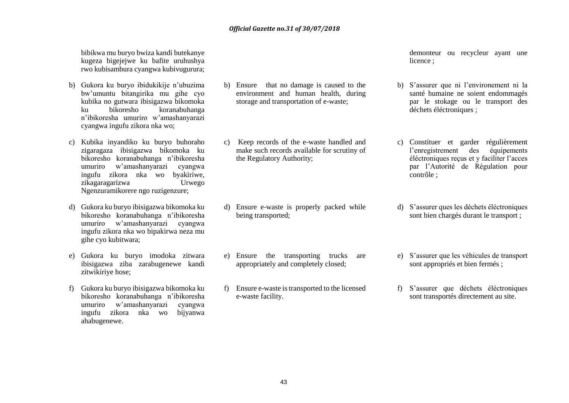bibikwa mu buryo bwiza kandi butekanye kugeza bigejejwe ku bafite uruhushya rwo kubisambura cyangwa kubivugurura;

- b) Gukora ku buryo ibidukikije n'ubuzima bw'umuntu bitangirika mu gihe cyo kubika no gutwara ibisigazwa bikomoka ku bikoresho koranabuhanga n'ibikoresha umuriro w'amashanyarazi cyangwa ingufu zikora nka wo;
- c) Kubika inyandiko ku buryo buhoraho zigaragaza ibisigazwa bikomoka ku bikoresho koranabuhanga n'ibikoresha umuriro w'amashanyarazi cyangwa ingufu zikora nka wo byakiriwe, zikagaragarizwa Urwego Ngenzuramikorere ngo ruzigenzure;
- d) Gukora ku buryo ibisigazwa bikomoka ku bikoresho koranabuhanga n'ibikoresha umuriro w'amashanyarazi cyangwa ingufu zikora nka wo bipakirwa neza mu gihe cyo kubitwara;
- e) Gukora ku buryo imodoka zitwara ibisigazwa ziba zarabugenewe kandi zitwikiriye hose;
- f) Gukora ku buryo ibisigazwa bikomoka ku bikoresho koranabuhanga n'ibikoresha umuriro w'amashanyarazi cyangwa ingufu zikora nka wo bijyanwa ahabugenewe.
- b) Ensure that no damage is caused to the environment and human health, during storage and transportation of e-waste;
- c) Keep records of the e-waste handled and make such records available for scrutiny of the Regulatory Authority;

- d) Ensure e-waste is properly packed while being transported;
- e) Ensure the transporting trucks are appropriately and completely closed;
- f) Ensure e-waste is transported to the licensed e-waste facility.

demonteur ou recycleur ayant une licence :

- b) S'assurer que ni l'environement ni la santé humaine ne soient endommagés par le stokage ou le transport des déchets éléctroniques ;
- c) Constituer et garder régulièrement l'enregistrement des éléctroniques reçus et y faciliter l'acces par l'Autorité de Régulation pour contrôle ;
- d) S'assurer ques les déchets éléctroniques sont bien chargés durant le transport ;
- e) S'assurer que les véhicules de transport sont appropriés et bien fermés ;
- f) S'assurer que déchets éléctroniques sont transportés directement au site.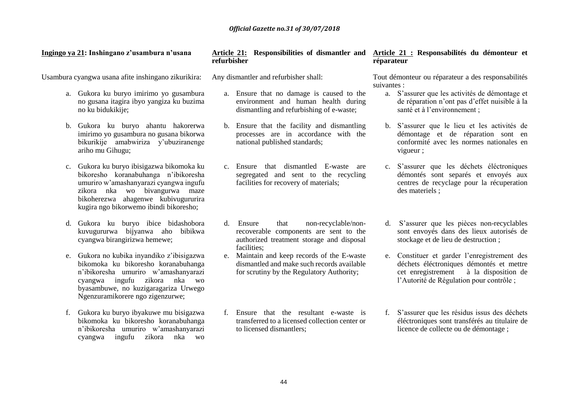**Ingingo ya 21: Inshingano z'usambura n'usana**

Usambura cyangwa usana afite inshingano zikurikira:

- a. Gukora ku buryo imirimo yo gusambura no gusana itagira ibyo yangiza ku buzima no ku bidukikije;
- b. Gukora ku buryo ahantu hakorerwa imirimo yo gusambura no gusana bikorwa bikurikije amabwiriza y'ubuziranenge ariho mu Gihugu;
- c. Gukora ku buryo ibisigazwa bikomoka ku bikoresho koranabuhanga n'ibikoresha umuriro w'amashanyarazi cyangwa ingufu zikora nka wo bivangurwa maze bikoherezwa ahagenwe kubivugururira kugira ngo bikorwemo ibindi bikoresho;
- d. Gukora ku buryo ibice bidashobora kuvugururwa bijyanwa aho bibikwa cyangwa birangirizwa hemewe;
- e. Gukora no kubika inyandiko z'ibisigazwa bikomoka ku bikoresho koranabuhanga n'ibikoresha umuriro w'amashanyarazi cyangwa ingufu zikora nka wo byasambuwe, no kuzigaragariza Urwego Ngenzuramikorere ngo zigenzurwe;
- f. Gukora ku buryo ibyakuwe mu bisigazwa bikomoka ku bikoresho koranabuhanga n'ibikoresha umuriro w'amashanyarazi cyangwa ingufu zikora nka wo

# **Article 21: Responsibilities of dismantler and refurbisher**

Any dismantler and refurbisher shall:

- a. Ensure that no damage is caused to the environment and human health during dismantling and refurbishing of e-waste;
- b. Ensure that the facility and dismantling processes are in accordance with the national published standards;
- c. Ensure that dismantled E-waste are segregated and sent to the recycling facilities for recovery of materials;
- d. Ensure that non-recyclable/nonrecoverable components are sent to the authorized treatment storage and disposal facilities;
- e. Maintain and keep records of the E-waste dismantled and make such records available for scrutiny by the Regulatory Authority;
- f. Ensure that the resultant e-waste is transferred to a licensed collection center or to licensed dismantlers;

# **Article 21 : Responsabilités du démonteur et réparateur**

Tout démonteur ou réparateur a des responsabilités suivantes :

- a. S'assurer que les activités de démontage et de réparation n'ont pas d'effet nuisible à la santé et à l'environnement ;
- b. S'assurer que le lieu et les activités de démontage et de réparation sont en conformité avec les normes nationales en vigueur ;
- c. S'assurer que les déchets éléctroniques démontés sont separés et envoyés aux centres de recyclage pour la récuperation des materiels ;
- d. S'assurer que les pièces non-recyclables sont envoyés dans des lieux autorisés de stockage et de lieu de destruction ;
- e. Constituer et garder l'enregistrement des déchets éléctroniques démontés et mettre cet enregistrement à la disposition de l'Autorité de Régulation pour contrôle ;
- f. S'assurer que les résidus issus des déchets éléctroniques sont transférés au titulaire de licence de collecte ou de démontage ;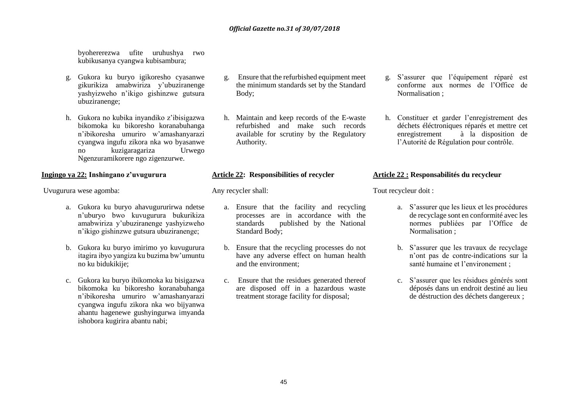byohererezwa ufite uruhushya rwo kubikusanya cyangwa kubisambura;

- g. Gukora ku buryo igikoresho cyasanwe gikurikiza amabwiriza y'ubuziranenge yashyizweho n'ikigo gishinzwe gutsura ubuziranenge;
- h. Gukora no kubika inyandiko z'ibisigazwa bikomoka ku bikoresho koranabuhanga n'ibikoresha umuriro w'amashanyarazi cyangwa ingufu zikora nka wo byasanwe no kuzigaragariza Urwego Ngenzuramikorere ngo zigenzurwe.

#### **Ingingo ya 22: Inshingano z'uvugurura**

Uvugurura wese agomba:

- a. Gukora ku buryo ahavugururirwa ndetse n'uburyo bwo kuvugurura bukurikiza amabwiriza y'ubuziranenge yashyizweho n'ikigo gishinzwe gutsura ubuziranenge;
- b. Gukora ku buryo imirimo yo kuvugurura itagira ibyo yangiza ku buzima bw'umuntu no ku bidukikije;
- c. Gukora ku buryo ibikomoka ku bisigazwa bikomoka ku bikoresho koranabuhanga n'ibikoresha umuriro w'amashanyarazi cyangwa ingufu zikora nka wo bijyanwa ahantu hagenewe gushyingurwa imyanda ishobora kugirira abantu nabi;
- g. Ensure that the refurbished equipment meet the minimum standards set by the Standard Body;
- h. Maintain and keep records of the E-waste refurbished and make such records available for scrutiny by the Regulatory Authority.

#### **Article 22: Responsibilities of recycler**

Any recycler shall:

- a. Ensure that the facility and recycling processes are in accordance with the standards published by the National Standard Body;
- b. Ensure that the recycling processes do not have any adverse effect on human health and the environment;
- c. Ensure that the residues generated thereof are disposed off in a hazardous waste treatment storage facility for disposal;
- g. S'assurer que l'équipement réparé est conforme aux normes de l'Office de Normalisation ;
- h. Constituer et garder l'enregistrement des déchets éléctroniques réparés et mettre cet<br>enregistrement à la disposition de à la disposition de l'Autorité de Régulation pour contrôle.

#### **Article 22 : Responsabilités du recycleur**

Tout recycleur doit :

- a. S'assurer que les lieux et les procédures de recyclage sont en conformité avec les normes publiées par l'Office de Normalisation ;
- b. S'assurer que les travaux de recyclage n'ont pas de contre-indications sur la santé humaine et l'environement ;
- c. S'assurer que les résidues générés sont déposés dans un endroit destiné au lieu de déstruction des déchets dangereux ;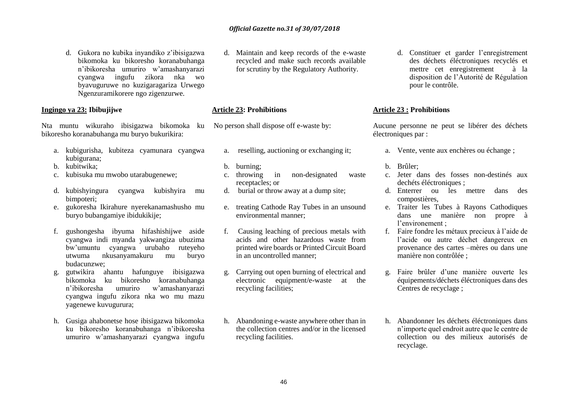d. Gukora no kubika inyandiko z'ibisigazwa bikomoka ku bikoresho koranabuhanga n'ibikoresha umuriro w'amashanyarazi cyangwa ingufu zikora nka wo byavuguruwe no kuzigaragariza Urwego Ngenzuramikorere ngo zigenzurwe.

# **Ingingo ya 23: Ibibujijwe**

Nta muntu wikuraho ibisigazwa bikomoka ku bikoresho koranabuhanga mu buryo bukurikira:

- a. kubigurisha, kubiteza cyamunara cyangwa kubigurana;
- b. kubitwika;
- c. kubisuka mu mwobo utarabugenewe;
- d. kubishyingura cyangwa kubishyira mu bimpoteri;
- e. gukoresha Ikirahure nyerekanamashusho mu buryo bubangamiye ibidukikije;
- f. gushongesha ibyuma hifashishijwe aside cyangwa indi myanda yakwangiza ubuzima bw'umuntu cyangwa urubaho ruteyeho utwuma nkusanyamakuru mu buryo budacunzwe;
- g. gutwikira ahantu hafunguye ibisigazwa bikomoka ku bikoresho koranabuhanga n'ibikoresha umuriro w'amashanyarazi cyangwa ingufu zikora nka wo mu mazu yagenewe kuvugurura;
- h. Gusiga ahabonetse hose ibisigazwa bikomoka ku bikoresho koranabuhanga n'ibikoresha umuriro w'amashanyarazi cyangwa ingufu

d. Maintain and keep records of the e-waste recycled and make such records available for scrutiny by the Regulatory Authority.

### **Article 23: Prohibitions**

No person shall dispose off e-waste by:

- a. reselling, auctioning or exchanging it;
- b. burning;
- c. throwing in non-designated waste receptacles; or
- d. burial or throw away at a dump site;
- e. treating Cathode Ray Tubes in an unsound environmental manner;
- f. Causing leaching of precious metals with acids and other hazardous waste from printed wire boards or Printed Circuit Board in an uncontrolled manner;
- g. Carrying out open burning of electrical and electronic equipment/e-waste at the recycling facilities;
- h. Abandoning e-waste anywhere other than in the collection centres and/or in the licensed recycling facilities.

d. Constituer et garder l'enregistrement des déchets éléctroniques recyclés et mettre cet enregistrement à la disposition de l'Autorité de Régulation pour le contrôle.

# **Article 23 : Prohibitions**

Aucune personne ne peut se libérer des déchets électroniques par :

- a. Vente, vente aux enchères ou échange ;
- b. Brûler;
- c. Jeter dans des fosses non-destinés aux dechéts éléctroniques ;
- d. Enterrer ou les mettre dans des compostières,
- e. Traiter les Tubes à Rayons Cathodiques dans une manière non propre à l'environement ;
- f. Faire fondre les métaux precieux à l'aide de l'acide ou autre déchet dangereux en provenance des cartes –mères ou dans une manière non contrôlée ;
- g. Faire brûler d'une manière ouverte les équipements/déchets éléctroniques dans des Centres de recyclage ;
- h. Abandonner les déchets éléctroniques dans n'importe quel endroit autre que le centre de collection ou des milieux autorisés de recyclage.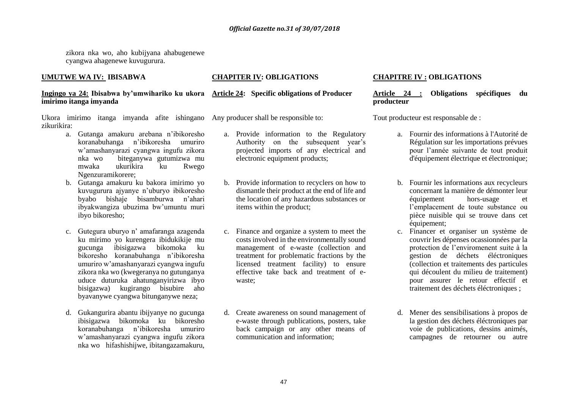zikora nka wo, aho kubijyana ahabugenewe cyangwa ahagenewe kuvugurura.

# **UMUTWE WA IV: IBISABWA**

# **CHAPITER IV: OBLIGATIONS**

#### **Ingingo ya 24: Ibisabwa by'umwihariko ku ukora Article 24: Specific obligations of Producer imirimo itanga imyanda**

Ukora imirimo itanga imyanda afite ishingano Any producer shall be responsible to: zikurikira:

- a. Gutanga amakuru arebana n'ibikoresho koranabuhanga n'ibikoresha umuriro w'amashanyarazi cyangwa ingufu zikora nka wo biteganywa gutumizwa mu mwaka ukurikira ku Rwego Ngenzuramikorere;
- b. Gutanga amakuru ku bakora imirimo yo kuvugurura ajyanye n'uburyo ibikoresho byabo bishaje bisamburwa n'ahari ibyakwangiza ubuzima bw'umuntu muri ibyo bikoresho;
- c. Gutegura uburyo n' amafaranga azagenda ku mirimo yo kurengera ibidukikije mu gucunga ibisigazwa bikomoka ku bikoresho koranabuhanga n'ibikoresha umuriro w'amashanyarazi cyangwa ingufu zikora nka wo (kwegeranya no gutunganya uduce duturuka ahatunganyirizwa ibyo bisigazwa) kugirango bisubire aho byavanywe cyangwa bitunganywe neza;
- d. Gukangurira abantu ibijyanye no gucunga ibisigazwa bikomoka ku bikoresho koranabuhanga n'ibikoresha umuriro w'amashanyarazi cyangwa ingufu zikora nka wo hifashishijwe, ibitangazamakuru,

- a. Provide information to the Regulatory Authority on the subsequent year's projected imports of any electrical and electronic equipment products;
- b. Provide information to recyclers on how to dismantle their product at the end of life and the location of any hazardous substances or items within the product;
- c. Finance and organize a system to meet the costs involved in the environmentally sound management of e-waste (collection and treatment for problematic fractions by the licensed treatment facility) to ensure effective take back and treatment of ewaste;
- d. Create awareness on sound management of e-waste through publications, posters, take back campaign or any other means of communication and information;

# **CHAPITRE IV : OBLIGATIONS**

# **Article 24 : Obligations spécifiques du producteur**

Tout producteur est responsable de :

- a. Fournir des informations à l'Autorité de Régulation sur les importations prévues pour l'année suivante de tout produit d'équipement électrique et électronique;
- b. Fournir les informations aux recycleurs concernant la manière de démonter leur équipement hors-usage et l'emplacement de toute substance ou pièce nuisible qui se trouve dans cet équipement;
- c. Financer et organiser un système de couvrir les dépenses ocassionnées par la protection de l'enviromenent suite à la gestion de déchets éléctroniques (collection et traitements des particules qui découlent du milieu de traitement) pour assurer le retour effectif et traitement des déchets éléctroniques ;
- d. Mener des sensibilisations à propos de la gestion des déchets éléctroniques par voie de publications, dessins animés, campagnes de retourner ou autre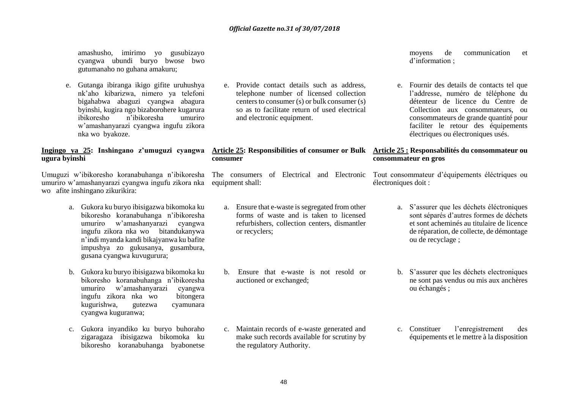amashusho, imirimo yo gusubizayo cyangwa ubundi buryo bwose bwo gutumanaho no guhana amakuru;

e. Gutanga ibiranga ikigo gifite uruhushya nk'aho kibarizwa, nimero ya telefoni bigahabwa abaguzi cyangwa abagura byinshi, kugira ngo bizaborohere kugarura ibikoresho n'ibikoresha umuriro w'amashanyarazi cyangwa ingufu zikora nka wo byakoze.

# **Ingingo ya 25: Inshingano z'umuguzi cyangwa ugura byinshi**

Umuguzi w'ibikoresho koranabuhanga n'ibikoresha umuriro w'amashanyarazi cyangwa ingufu zikora nka equipment shall: wo afite inshingano zikurikira:

- a. Gukora ku buryo ibisigazwa bikomoka ku bikoresho koranabuhanga n'ibikoresha umuriro w'amashanyarazi cyangwa ingufu zikora nka wo bitandukanywa n'indi myanda kandi bikajyanwa ku bafite impushya zo gukusanya, gusambura, gusana cyangwa kuvugurura;
- b. Gukora ku buryo ibisigazwa bikomoka ku bikoresho koranabuhanga n'ibikoresha umuriro w'amashanyarazi cyangwa ingufu zikora nka wo bitongera kugurishwa, gutezwa cyamunara cyangwa kuguranwa;
- c. Gukora inyandiko ku buryo buhoraho zigaragaza ibisigazwa bikomoka ku bikoresho koranabuhanga byabonetse

e. Provide contact details such as address, telephone number of licensed collection centers to consumer (s) or bulk consumer (s) so as to facilitate return of used electrical and electronic equipment.

#### **Article 25: Responsibilities of consumer or Bulk Article 25 : Responsabilités du consommateur ou consumer**

- a. Ensure that e-waste is segregated from other forms of waste and is taken to licensed refurbishers, collection centers, dismantler or recyclers;
- b. Ensure that e-waste is not resold or auctioned or exchanged;

c. Maintain records of e-waste generated and make such records available for scrutiny by moyens de communication et d'information ;

e. Fournir des details de contacts tel que l'addresse, numéro de téléphone du détenteur de licence du Centre de Collection aux consommateurs, ou consommateurs de grande quantité pour faciliter le retour des équipements électriques ou électroniques usés.

# **consommateur en gros**

The consumers of Electrical and Electronic Tout consommateur d'équipements éléctriques ou électroniques doit :

- a. S'assurer que les déchets éléctroniques sont séparés d'autres formes de déchets et sont acheminés au titulaire de licence de réparation, de collecte, de démontage ou de recyclage ;
- b. S'assurer que les déchets electroniques ne sont pas vendus ou mis aux anchères ou échangés ;
- c. Constituer l'enregistrement des équipements et le mettre à la disposition

the regulatory Authority.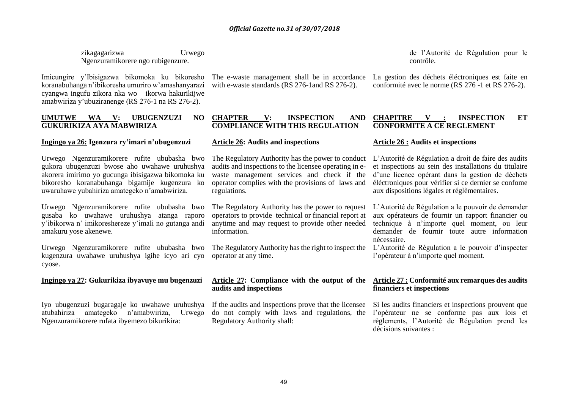zikagagarizwa Urwego Ngenzuramikorere ngo rubigenzure.

Imicungire y'Ibisigazwa bikomoka ku bikoresho koranabuhanga n'ibikoresha umuriro w'amashanyarazi cyangwa ingufu zikora nka wo ikorwa hakurikijwe amabwiriza y'ubuziranenge (RS 276-1 na RS 276-2).

#### **UMUTWE WA V: UBUGENZUZI NO GUKURIKIZA AYA MABWIRIZA**

### **Ingingo ya 26: Igenzura ry'imari n'ubugenzuzi**

Urwego Ngenzuramikorere rufite ububasha bwo gukora ubugenzuzi bwose aho uwahawe uruhushya akorera imirimo yo gucunga ibisigazwa bikomoka ku bikoresho koranabuhanga bigamije kugenzura ko uwaruhawe yubahiriza amategeko n'amabwiriza.

Urwego Ngenzuramikorere rufite ububasha bwo gusaba ko uwahawe uruhushya atanga raporo y'ibikorwa n' imikoreshereze y'imali no gutanga andi amakuru yose akenewe.

Urwego Ngenzuramikorere rufite ububasha bwo The Regulatory Authority has the right to inspect the kugenzura uwahawe uruhushya igihe icyo ari cyo operator at any time. cyose.

#### **Ingingo ya 27: Gukurikiza ibyavuye mu bugenzuzi**

Iyo ubugenzuzi bugaragaje ko uwahawe uruhushya If the audits and inspections prove that the licensee atubahiriza amategeko n'amabwiriza, Urwego Ngenzuramikorere rufata ibyemezo bikurikira:

with e-waste standards (RS 276-1and RS 276-2).

### **CHAPTER V: INSPECTION AND COMPLIANCE WITH THIS REGULATION**

### **Article 26: Audits and inspections**

The Regulatory Authority has the power to conduct audits and inspections to the licensee operating in ewaste management services and check if the operator complies with the provisions of laws and regulations.

The Regulatory Authority has the power to request operators to provide technical or financial report at anytime and may request to provide other needed information.

#### **Article 27: Compliance with the output of the audits and inspections**

do not comply with laws and regulations, the Regulatory Authority shall:

de l'Autorité de Régulation pour le contrôle.

The e-waste management shall be in accordance La gestion des déchets éléctroniques est faite en conformité avec le norme (RS 276 -1 et RS 276-2).

#### **CHAPITRE V : INSPECTION ET CONFORMITE A CE REGLEMENT**

# **Article 26 : Audits et inspections**

L'Autorité de Régulation a droit de faire des audits et inspections au sein des installations du titulaire d'une licence opérant dans la gestion de déchets éléctroniques pour vérifier si ce dernier se confome aux dispositions légales et réglèmentaires.

L'Autorité de Régulation a le pouvoir de demander aux opérateurs de fournir un rapport financier ou technique à n'importe quel moment, ou leur demander de fournir toute autre information nécessaire.

L'Autorité de Régulation a le pouvoir d'inspecter l'opérateur à n'importe quel moment.

#### **Article 27 : Conformité aux remarques des audits financiers et inspections**

Si les audits financiers et inspections prouvent que l'opérateur ne se conforme pas aux lois et règlements, l'Autorité de Régulation prend les décisions suivantes :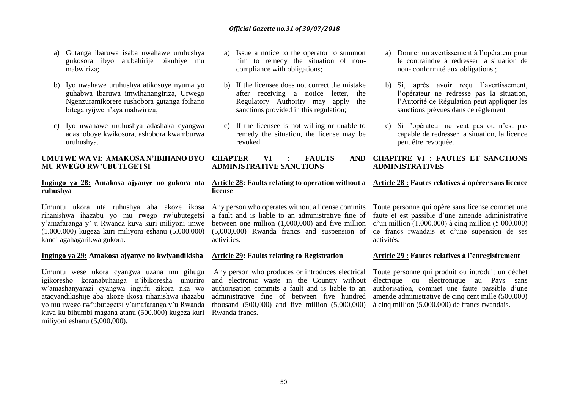- a) Gutanga ibaruwa isaba uwahawe uruhushya gukosora ibyo atubahirije bikubiye mu mabwiriza;
- b) Iyo uwahawe uruhushya atikosoye nyuma yo guhabwa ibaruwa imwihanangiriza, Urwego Ngenzuramikorere rushobora gutanga ibihano biteganyijwe n'aya mabwiriza;
- c) Iyo uwahawe uruhushya adashaka cyangwa adashoboye kwikosora, ashobora kwamburwa uruhushya.

#### **UMUTWE WA VI: AMAKOSA N'IBIHANO BYO CHAPTER VI : FAULTS AND MU RWEGO RW'UBUTEGETSI**

# **Ingingo ya 28: Amakosa ajyanye no gukora nta ruhushya**

Umuntu ukora nta ruhushya aba akoze ikosa rihanishwa ihazabu yo mu rwego rw'ubutegetsi y'amafaranga y' u Rwanda kuva kuri miliyoni imwe (1.000.000) kugeza kuri miliyoni eshanu (5.000.000) kandi agahagarikwa gukora.

#### **Ingingo ya 29: Amakosa ajyanye no kwiyandikisha**

Umuntu wese ukora cyangwa uzana mu gihugu igikoresho koranabuhanga n'ibikoresha umuriro w'amashanyarazi cyangwa ingufu zikora nka wo atacyandikishije aba akoze ikosa rihanishwa ihazabu yo mu rwego rw'ubutegetsi y'amafaranga y'u Rwanda kuva ku bihumbi magana atanu (500.000) kugeza kuri miliyoni eshanu (5,000,000).

- a) Issue a notice to the operator to summon him to remedy the situation of noncompliance with obligations;
- b) If the licensee does not correct the mistake after receiving a notice letter, the Regulatory Authority may apply the sanctions provided in this regulation;
- c) If the licensee is not willing or unable to remedy the situation, the license may be revoked.

# **ADMINISTRATIVE SANCTIONS**

#### **Article 28: Faults relating to operation without a Article 28 : Fautes relatives à opérer sans licence license**

Any person who operates without a license commits a fault and is liable to an administrative fine of between one million (1,000,000) and five million (5,000,000) Rwanda francs and suspension of de francs rwandais et d'une supension de ses activities.

#### **Article 29: Faults relating to Registration**

Any person who produces or introduces electrical and electronic waste in the Country without authorisation commits a fault and is liable to an administrative fine of between five hundred thousand (500,000) and five million (5,000,000) Rwanda francs.

- a) Donner un avertissement à l'opérateur pour le contraindre à redresser la situation de non- conformité aux obligations ;
- b) Si, après avoir reçu l'avertissement, l'opérateur ne redresse pas la situation, l'Autorité de Régulation peut appliquer les sanctions prévues dans ce réglement
- c) Si l'opérateur ne veut pas ou n'est pas capable de redresser la situation, la licence peut être revoquée.

# **CHAPITRE VI : FAUTES ET SANCTIONS ADMINISTRATIVES**

Toute personne qui opère sans license commet une faute et est passible d'une amende administrative  $d'$ un million  $(1.000.000)$  à cinq million  $(5.000.000)$ activités.

#### **Article 29 : Fautes relatives à l'enregistrement**

Toute personne qui produit ou introduit un déchet électrique ou électronique au Pays sans authorisation, commet une faute passible d'une amende administrative de cinq cent mille (500.000) à cinq million (5.000.000) de francs rwandais.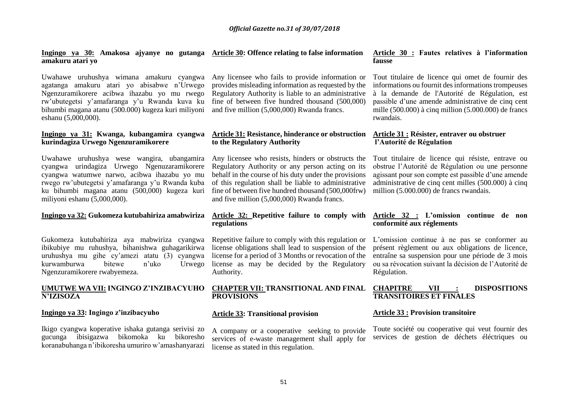#### **Ingingo ya 30: Amakosa ajyanye no gutanga Article 30: Offence relating to false information amakuru atari yo**

Uwahawe uruhushya wimana amakuru cyangwa agatanga amakuru atari yo abisabwe n'Urwego Ngenzuramikorere acibwa ihazabu yo mu rwego rw'ubutegetsi y'amafaranga y'u Rwanda kuva ku bihumbi magana atanu (500.000) kugeza kuri miliyoni eshanu (5,000,000).

#### **Ingingo ya 31: Kwanga, kubangamira cyangwa kurindagiza Urwego Ngenzuramikorere**

Uwahawe uruhushya wese wangira, ubangamira cyangwa urindagiza Urwego Ngenuzaramikorere cyangwa watumwe narwo, acibwa ihazabu yo mu rwego rw'ubutegetsi y'amafaranga y'u Rwanda kuba ku bihumbi magana atanu (500,000) kugeza kuri miliyoni eshanu (5,000,000).

#### **Ingingo ya 32: Gukomeza kutubahiriza amabwiriza**

Gukomeza kutubahiriza aya mabwiriza cyangwa ibikubiye mu ruhushya, bihanishwa guhagarikirwa uruhushya mu gihe cy'amezi atatu (3) cyangwa kurwamburwa bitewe n'uko Urwego Ngenzuramikorere rwabyemeza.

#### **UMUTWE WA VII: INGINGO Z'INZIBACYUHO N'IZISOZA**

#### **Ingingo ya 33: Ingingo z'inzibacyuho**

Ikigo cyangwa koperative ishaka gutanga serivisi zo gucunga ibisigazwa bikomoka ku bikoresho koranabuhanga n'ibikoresha umuriro w'amashanyarazi

Any licensee who fails to provide information or provides misleading information as requested by the Regulatory Authority is liable to an administrative fine of between five hundred thousand (500,000) and five million (5,000,000) Rwanda francs.

## **Article 31: Resistance, hinderance or obstruction to the Regulatory Authority**

Any licensee who resists, hinders or obstructs the Regulatory Authority or any person acting on its behalf in the course of his duty under the provisions of this regulation shall be liable to administrative fine of between five hundred thousand (500,000frw) and five million (5,000,000) Rwanda francs.

#### **Article 32: Repetitive failure to comply with regulations**

Repetitive failure to comply with this regulation or license obligations shall lead to suspension of the license for a period of 3 Months or revocation of the license as may be decided by the Regulatory Authority.

# **CHAPTER VII: TRANSITIONAL AND FINAL PROVISIONS**

#### **Article 33: Transitional provision**

A company or a cooperative seeking to provide services of e-waste management shall apply for license as stated in this regulation.

#### **Article 30 : Fautes relatives à l'information fausse**

Tout titulaire de licence qui omet de fournir des informations ou fournit des informations trompeuses à la demande de l'Autorité de Régulation, est passible d'une amende administrative de cinq cent mille  $(500.000)$  à cinq million  $(5.000.000)$  de francs rwandais.

#### **Article 31 : Résister, entraver ou obstruer l'Autorité de Régulation**

Tout titulaire de licence qui résiste, entrave ou obstrue l'Autorité de Régulation ou une personne agissant pour son compte est passible d'une amende administrative de cinq cent milles (500.000) à cinq million (5.000.000) de francs rwandais.

#### **Article 32 : L'omission continue de non conformité aux réglements**

L'omission continue à ne pas se conformer au présent règlement ou aux obligations de licence, entraîne sa suspension pour une période de 3 mois ou sa révocation suivant la décision de l'Autorité de Régulation.

# **CHAPITRE VII : DISPOSITIONS TRANSITOIRES ET FINALES**

#### **Article 33 : Provision transitoire**

Toute société ou cooperative qui veut fournir des services de gestion de déchets éléctriques ou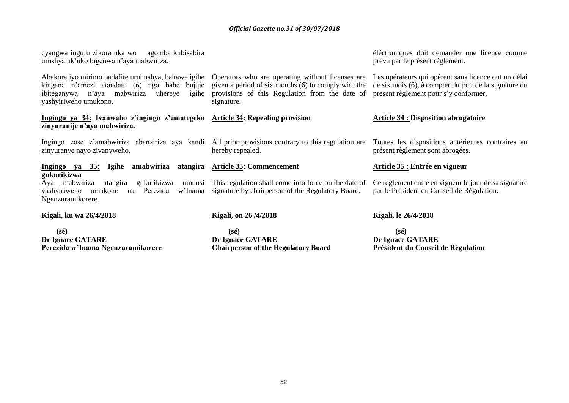| cyangwa ingufu zikora nka wo agomba kubisabira<br>urushya nk'uko bigenwa n'aya mabwiriza.                                                                                                                                        |                                                                                                                     | éléctroniques doit demander une licence comme<br>prévu par le présent règlement.                                                                       |
|----------------------------------------------------------------------------------------------------------------------------------------------------------------------------------------------------------------------------------|---------------------------------------------------------------------------------------------------------------------|--------------------------------------------------------------------------------------------------------------------------------------------------------|
| Abakora iyo mirimo badafite uruhushya, bahawe igihe Operators who are operating without licenses are<br>kingana n'amezi atandatu (6) ngo babe bujuje<br>ibiteganywa n'aya mabwiriza<br>uhereye<br>igihe<br>yashyiriweho umukono. | given a period of six months (6) to comply with the<br>provisions of this Regulation from the date of<br>signature. | Les opérateurs qui opèrent sans licence ont un délai<br>de six mois (6), à compter du jour de la signature du<br>present règlement pour s'y conformer. |
| Ingingo ya 34: Ivanwaho z'ingingo z'amategeko Article 34: Repealing provision<br>zinyuranije n'aya mabwiriza.                                                                                                                    |                                                                                                                     | <b>Article 34 : Disposition abrogatoire</b>                                                                                                            |
| Ingingo zose z'amabwiriza abanziriza aya kandi All prior provisions contrary to this regulation are Toutes les dispositions antérieures contraires au<br>zinyuranye nayo zivanyweho.                                             | hereby repealed.                                                                                                    | présent règlement sont abrogées.                                                                                                                       |
| <u>Ingingo ya 35: Igihe amabwiriza</u><br>gukurikizwa                                                                                                                                                                            | atangira Article 35: Commencement                                                                                   | Article 35 : Entrée en vigueur                                                                                                                         |
| Aya mabwiriza<br>gukurikizwa<br>atangira<br>umunsi<br>na Perezida<br>yashyiriweho umukono<br>Ngenzuramikorere.                                                                                                                   | This regulation shall come into force on the date of<br>w'Inama signature by chairperson of the Regulatory Board.   | Ce réglement entre en vigueur le jour de sa signature<br>par le Président du Conseil de Régulation.                                                    |
| Kigali, ku wa 26/4/2018                                                                                                                                                                                                          | Kigali, on 26/4/2018                                                                                                | Kigali, le 26/4/2018                                                                                                                                   |

 **(sé) Dr Ignace GATARE Perezida w'Inama Ngenzuramikorere** 

 **(sé) Dr Ignace GATARE Chairperson of the Regulatory Board** 

 **(sé) Dr Ignace GATARE Président du Conseil de Régulation**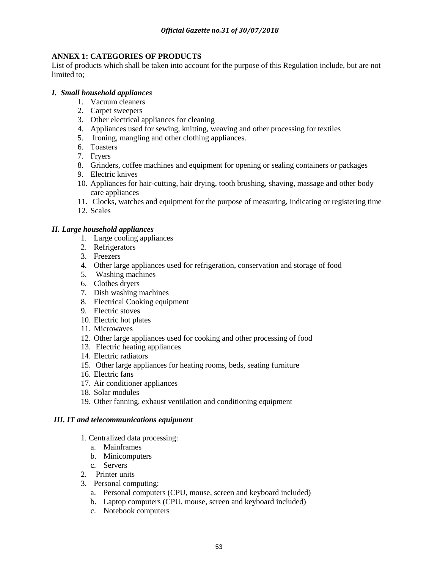# **ANNEX 1: CATEGORIES OF PRODUCTS**

List of products which shall be taken into account for the purpose of this Regulation include, but are not limited to;

# *I. Small household appliances*

- 1. Vacuum cleaners
- 2. Carpet sweepers
- 3. Other electrical appliances for cleaning
- 4. Appliances used for sewing, knitting, weaving and other processing for textiles
- 5. Ironing, mangling and other clothing appliances.
- 6. Toasters
- 7. Fryers
- 8. Grinders, coffee machines and equipment for opening or sealing containers or packages
- 9. Electric knives
- 10. Appliances for hair-cutting, hair drying, tooth brushing, shaving, massage and other body care appliances
- 11. Clocks, watches and equipment for the purpose of measuring, indicating or registering time
- 12. Scales

# *II. Large household appliances*

- 1. Large cooling appliances
- 2. Refrigerators
- 3. Freezers
- 4. Other large appliances used for refrigeration, conservation and storage of food
- 5. Washing machines
- 6. Clothes dryers
- 7. Dish washing machines
- 8. Electrical Cooking equipment
- 9. Electric stoves
- 10. Electric hot plates
- 11. Microwaves
- 12. Other large appliances used for cooking and other processing of food
- 13. Electric heating appliances
- 14. Electric radiators
- 15. Other large appliances for heating rooms, beds, seating furniture
- 16. Electric fans
- 17. Air conditioner appliances
- 18. Solar modules
- 19. Other fanning, exhaust ventilation and conditioning equipment

# *III. IT and telecommunications equipment*

- 1. Centralized data processing:
	- a. Mainframes
	- b. Minicomputers
	- c. Servers
- 2. Printer units
- 3. Personal computing:
	- a. Personal computers (CPU, mouse, screen and keyboard included)
	- b. Laptop computers (CPU, mouse, screen and keyboard included)
	- c. Notebook computers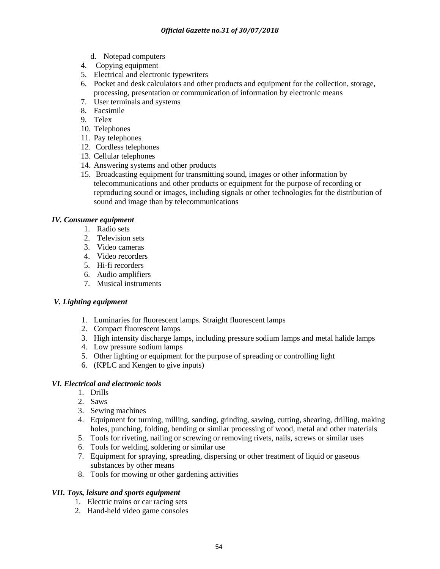- d. Notepad computers
- 4. Copying equipment
- 5. Electrical and electronic typewriters
- 6. Pocket and desk calculators and other products and equipment for the collection, storage, processing, presentation or communication of information by electronic means
- 7. User terminals and systems
- 8. Facsimile
- 9. Telex
- 10. Telephones
- 11. Pay telephones
- 12. Cordless telephones
- 13. Cellular telephones
- 14. Answering systems and other products
- 15. Broadcasting equipment for transmitting sound, images or other information by telecommunications and other products or equipment for the purpose of recording or reproducing sound or images, including signals or other technologies for the distribution of sound and image than by telecommunications

# *IV. Consumer equipment*

- 1. Radio sets
- 2. Television sets
- 3. Video cameras
- 4. Video recorders
- 5. Hi-fi recorders
- 6. Audio amplifiers
- 7. Musical instruments

# *V. Lighting equipment*

- 1. Luminaries for fluorescent lamps. Straight fluorescent lamps
- 2. Compact fluorescent lamps
- 3. High intensity discharge lamps, including pressure sodium lamps and metal halide lamps
- 4. Low pressure sodium lamps
- 5. Other lighting or equipment for the purpose of spreading or controlling light
- 6. (KPLC and Kengen to give inputs)

# *VI. Electrical and electronic tools*

- 1. Drills
- 2. Saws
- 3. Sewing machines
- 4. Equipment for turning, milling, sanding, grinding, sawing, cutting, shearing, drilling, making holes, punching, folding, bending or similar processing of wood, metal and other materials
- 5. Tools for riveting, nailing or screwing or removing rivets, nails, screws or similar uses
- 6. Tools for welding, soldering or similar use
- 7. Equipment for spraying, spreading, dispersing or other treatment of liquid or gaseous substances by other means
- 8. Tools for mowing or other gardening activities

# *VII. Toys, leisure and sports equipment*

- 1. Electric trains or car racing sets
- 2. Hand-held video game consoles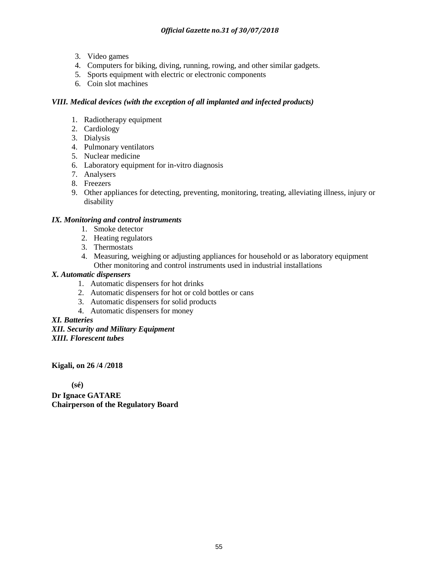- 3. Video games
- 4. Computers for biking, diving, running, rowing, and other similar gadgets.
- 5. Sports equipment with electric or electronic components
- 6. Coin slot machines

# *VIII. Medical devices (with the exception of all implanted and infected products)*

- 1. Radiotherapy equipment
- 2. Cardiology
- 3. Dialysis
- 4. Pulmonary ventilators
- 5. Nuclear medicine
- 6. Laboratory equipment for in-vitro diagnosis
- 7. Analysers
- 8. Freezers
- 9. Other appliances for detecting, preventing, monitoring, treating, alleviating illness, injury or disability

# *IX. Monitoring and control instruments*

- 1. Smoke detector
- 2. Heating regulators
- 3. Thermostats
- 4. Measuring, weighing or adjusting appliances for household or as laboratory equipment Other monitoring and control instruments used in industrial installations

# *X. Automatic dispensers*

- 1. Automatic dispensers for hot drinks
- 2. Automatic dispensers for hot or cold bottles or cans
- 3. Automatic dispensers for solid products
- 4. Automatic dispensers for money

*XI. Batteries XII. Security and Military Equipment XIII. Florescent tubes*

**Kigali, on 26 /4 /2018**

 **(sé)**

**Dr Ignace GATARE Chairperson of the Regulatory Board**